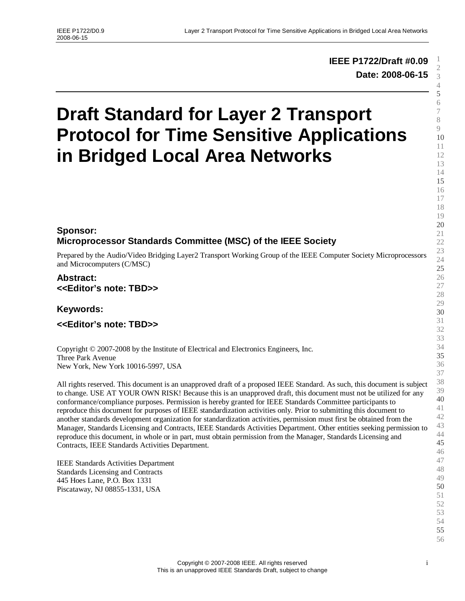# **IEEE P1722/Draft #0.09 Date: 2008-06-15**

# **Draft Standard for Layer 2 Transport Protocol for Time Sensitive Applications in Bridged Local Area Networks**

# **Sponsor: Microprocessor Standards Committee (MSC) of the IEEE Society**

Prepared by the Audio/Video Bridging Layer2 Transport Working Group of the IEEE Computer Society Microprocessors and Microcomputers (C/MSC)

#### **Abstract: <<Editor's note: TBD>>**

**Keywords:**

**<<Editor's note: TBD>>**

Copyright © 2007-2008 by the Institute of Electrical and Electronics Engineers, Inc. Three Park Avenue New York, New York 10016-5997, USA

All rights reserved. This document is an unapproved draft of a proposed IEEE Standard. As such, this document is subject to change. USE AT YOUR OWN RISK! Because this is an unapproved draft, this document must not be utilized for any conformance/compliance purposes. Permission is hereby granted for IEEE Standards Committee participants to reproduce this document for purposes of IEEE standardization activities only. Prior to submitting this document to another standards development organization for standardization activities, permission must first be obtained from the Manager, Standards Licensing and Contracts, IEEE Standards Activities Department. Other entities seeking permission to reproduce this document, in whole or in part, must obtain permission from the Manager, Standards Licensing and Contracts, IEEE Standards Activities Department.

IEEE Standards Activities Department Standards Licensing and Contracts 445 Hoes Lane, P.O. Box 1331 Piscataway, NJ 08855-1331, USA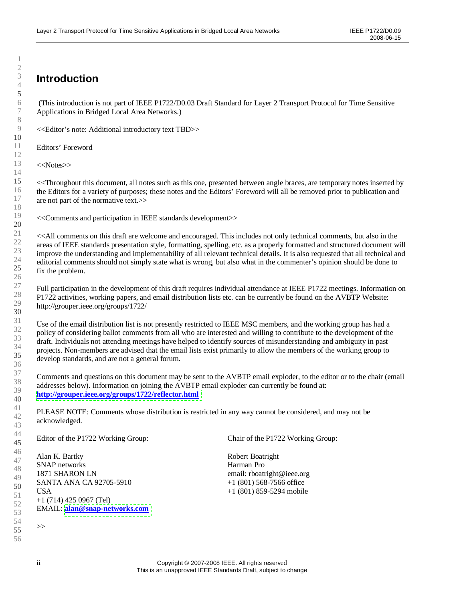# **Introduction**

(This introduction is not part of IEEE P1722/D0.03 Draft Standard for Layer 2 Transport Protocol for Time Sensitive Applications in Bridged Local Area Networks.)

<<Editor's note: Additional introductory text TBD>>

Editors'Foreword

<<Notes>>

<<Throughout this document, all notes such as this one, presented between angle braces, are temporary notes inserted by the Editors for a variety of purposes; these notes and the Editors' Foreword will all be removed prior to publication and are not part of the normative text.>>

<<Comments and participation in IEEE standards development>>

<<All comments on this draft are welcome and encouraged. This includes not only technical comments, but also in the areas of IEEE standards presentation style, formatting, spelling, etc. as a properly formatted and structured document will improve the understanding and implementability of all relevant technical details. It is also requested that all technical and editorial comments should not simply state what is wrong, but also what in the commenter's opinion should be done to fix the problem.

Full participation in the development of this draft requires individual attendance at IEEE P1722 meetings. Information on P1722 activities, working papers, and email distribution lists etc. can be currently be found on the AVBTP Website: http://grouper.ieee.org/groups/1722/

Use of the email distribution list is not presently restricted to IEEE MSC members, and the working group has had a policy of considering ballot comments from all who are interested and willing to contribute to the development of the draft. Individuals not attending meetings have helped to identify sources of misunderstanding and ambiguity in past projects. Non-members are advised that the email lists exist primarily to allow the members of the working group to develop standards, and are not a general forum.

Comments and questions on this document may be sent to the AVBTP email exploder, to the editor or to the chair (email addresses below). Information on joining the AVBTP email exploder can currently be found at: **<http://grouper.ieee.org/groups/1722/reflector.html>**

PLEASE NOTE: Comments whose distribution is restricted in any way cannot be considered, and may not be acknowledged.

Editor of the P1722 Working Group:

46 47 48 49 50 52 53 54 Alan K. Bartky SNAP networks 1871 SHARON LN SANTA ANA CA 92705-5910 USA +1 (714) 425 0967 (Tel) EMAIL: **[alan@snap-networks.com](mailto:alan@snap-networks.com)**

51

55 56 Chair of the P1722 Working Group:

Robert Boatright Harman Pro email: rboatright@ieee.org +1 (801) 568-7566 office +1 (801) 859-5294 mobile

>>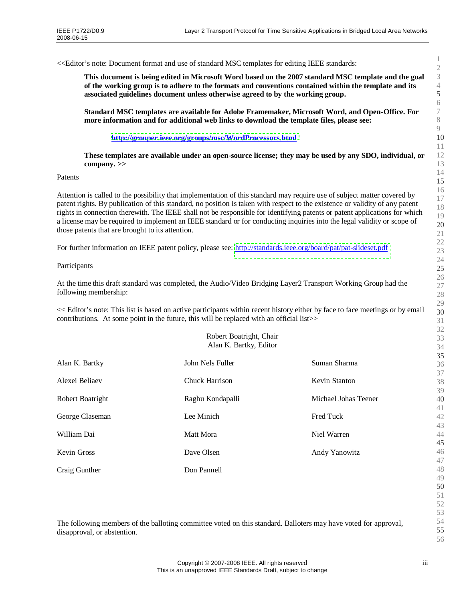<<Editor's note: Document format and use of standard MSC templates for editing IEEE standards:

**This document is being edited in Microsoft Word based on the 2007 standard MSC template and the goal of the working group is to adhere to the formats and conventions contained within the template and its associated guidelines document unless otherwise agreed to by the working group.**

**Standard MSC templates are available for Adobe Framemaker, Microsoft Word, and Open-Office. For more information and for additional web links to download the template files, please see:**

**<http://grouper.ieee.org/groups/msc/WordProcessors.html>**

**These templates are available under an open-source license; they may be used by any SDO, individual, or company. >>**

Patents

Attention is called to the possibility that implementation of this standard may require use of subject matter covered by patent rights. By publication of this standard, no position is taken with respect to the existence or validity of any patent rights in connection therewith. The IEEE shall not be responsible for identifying patents or patent applications for which a license may be required to implement an IEEE standard or for conducting inquiries into the legal validity or scope of those patents that are brought to its attention.

For further information on IEEE patent policy, please see: <http://standards.ieee.org/board/pat/pat-slideset.pdf>

#### Participants

At the time this draft standard was completed, the Audio/Video Bridging Layer2 Transport Working Group had the following membership:

<< Editor's note: This list is based on active participants within recent history either by face to face meetings or by email contributions. At some point in the future, this will be replaced with an official list>>

Robert Boatright, Chair

|                  | Alan K. Bartky, Editor |                      |        |
|------------------|------------------------|----------------------|--------|
| Alan K. Bartky   | John Nels Fuller       | Suman Sharma         |        |
| Alexei Beliaev   | <b>Chuck Harrison</b>  | <b>Kevin Stanton</b> |        |
| Robert Boatright | Raghu Kondapalli       | Michael Johas Teener |        |
| George Claseman  | Lee Minich             | <b>Fred Tuck</b>     | Á      |
| William Dai      | Matt Mora              | Niel Warren          | Á      |
| Kevin Gross      | Dave Olsen             | Andy Yanowitz        | Á      |
| Craig Gunther    | Don Pannell            |                      | Á<br>Á |

The following members of the balloting committee voted on this standard. Balloters may have voted for approval, disapproval, or abstention.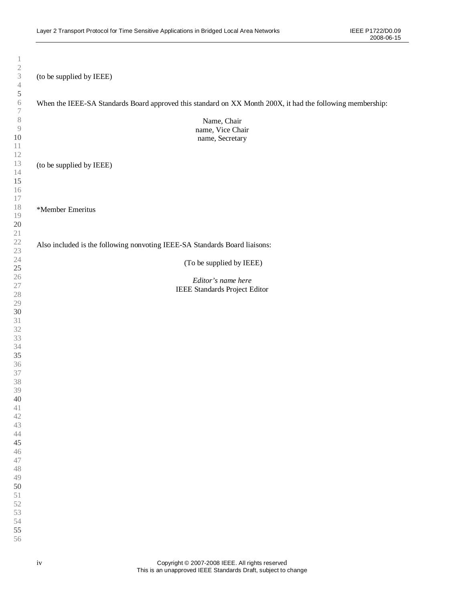(to be supplied by IEEE) When the IEEE-SA Standards Board approved this standard on XX Month 200X, it had the following membership: Name, Chair name, Vice Chair name, Secretary (to be supplied by IEEE) \*Member Emeritus Also included is the following nonvoting IEEE-SA Standards Board liaisons: (To be supplied by IEEE) *Editor's name here* IEEE Standards Project Editor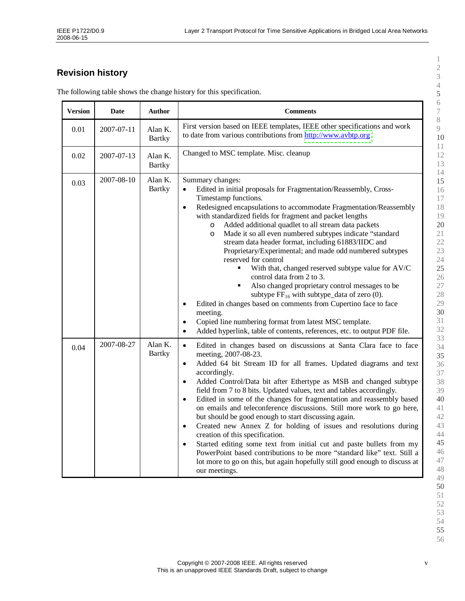# **Revision history**

| <b>Version</b> | <b>Date</b> | <b>Author</b>            | <b>Comments</b>                                                                                                                                                                                                                                                                                                                                                                                                                                                                                                                                                                                                                                                                                                                                                                                                                                                                                                                                                                                                        |
|----------------|-------------|--------------------------|------------------------------------------------------------------------------------------------------------------------------------------------------------------------------------------------------------------------------------------------------------------------------------------------------------------------------------------------------------------------------------------------------------------------------------------------------------------------------------------------------------------------------------------------------------------------------------------------------------------------------------------------------------------------------------------------------------------------------------------------------------------------------------------------------------------------------------------------------------------------------------------------------------------------------------------------------------------------------------------------------------------------|
| 0.01           | 2007-07-11  | Alan K.<br><b>Bartky</b> | First version based on IEEE templates, IEEE other specifications and work<br>to date from various contributions from http://www.avbtp.org                                                                                                                                                                                                                                                                                                                                                                                                                                                                                                                                                                                                                                                                                                                                                                                                                                                                              |
| 0.02           | 2007-07-13  | Alan K.<br><b>Bartky</b> | Changed to MSC template. Misc. cleanup                                                                                                                                                                                                                                                                                                                                                                                                                                                                                                                                                                                                                                                                                                                                                                                                                                                                                                                                                                                 |
| 0.03           | 2007-08-10  | Alan K.<br><b>Bartky</b> | Summary changes:<br>Edited in initial proposals for Fragmentation/Reassembly, Cross-<br>Timestamp functions.<br>Redesigned encapsulations to accommodate Fragmentation/Reassembly<br>$\bullet$<br>with standardized fields for fragment and packet lengths<br>Added additional quadlet to all stream data packets<br>$\circ$<br>Made it so all even numbered subtypes indicate "standard<br>$\circ$<br>stream data header format, including 61883/IIDC and<br>Proprietary/Experimental; and made odd numbered subtypes<br>reserved for control<br>With that, changed reserved subtype value for AV/C<br>control data from 2 to 3.<br>Also changed proprietary control messages to be<br>$\blacksquare$<br>subtype $FF_{16}$ with subtype_data of zero (0).<br>Edited in changes based on comments from Cupertino face to face<br>$\bullet$<br>meeting.<br>Copied line numbering format from latest MSC template.<br>$\bullet$<br>Added hyperlink, table of contents, references, etc. to output PDF file.<br>$\bullet$ |
| 0.04           | 2007-08-27  | Alan K.<br><b>Bartky</b> | Edited in changes based on discussions at Santa Clara face to face<br>$\bullet$<br>meeting, 2007-08-23.<br>Added 64 bit Stream ID for all frames. Updated diagrams and text<br>$\bullet$<br>accordingly.<br>Added Control/Data bit after Ethertype as MSB and changed subtype<br>$\bullet$<br>field from 7 to 8 bits. Updated values, text and tables accordingly.<br>Edited in some of the changes for fragmentation and reassembly based<br>$\bullet$<br>on emails and teleconference discussions. Still more work to go here,<br>but should be good enough to start discussing again.<br>Created new Annex Z for holding of issues and resolutions during<br>$\bullet$<br>creation of this specification.<br>Started editing some text from initial cut and paste bullets from my<br>$\bullet$<br>PowerPoint based contributions to be more "standard like" text. Still a<br>lot more to go on this, but again hopefully still good enough to discuss at<br>our meetings.                                           |

The following table shows the change history for this specification.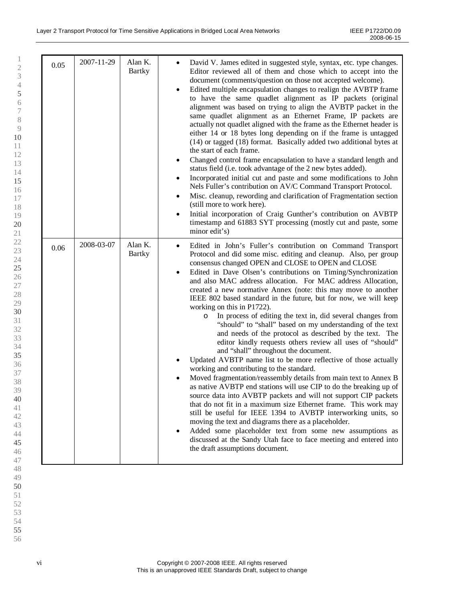| 0.05 | 2007-11-29 | Alan K.<br><b>Bartky</b> | David V. James edited in suggested style, syntax, etc. type changes.<br>Editor reviewed all of them and chose which to accept into the<br>document (comments/question on those not accepted welcome).<br>Edited multiple encapsulation changes to realign the AVBTP frame<br>$\bullet$<br>to have the same quadlet alignment as IP packets (original<br>alignment was based on trying to align the AVBTP packet in the<br>same quadlet alignment as an Ethernet Frame, IP packets are<br>actually not quadlet aligned with the frame as the Ethernet header is<br>either 14 or 18 bytes long depending on if the frame is untagged<br>(14) or tagged (18) format. Basically added two additional bytes at<br>the start of each frame.<br>Changed control frame encapsulation to have a standard length and<br>status field (i.e. took advantage of the 2 new bytes added).<br>Incorporated initial cut and paste and some modifications to John<br>Nels Fuller's contribution on AV/C Command Transport Protocol.<br>Misc. cleanup, rewording and clarification of Fragmentation section<br>٠<br>(still more to work here).<br>Initial incorporation of Craig Gunther's contribution on AVBTP<br>timestamp and 61883 SYT processing (mostly cut and paste, some<br>minor edit's)                                                                                                                                                                                                                         |
|------|------------|--------------------------|----------------------------------------------------------------------------------------------------------------------------------------------------------------------------------------------------------------------------------------------------------------------------------------------------------------------------------------------------------------------------------------------------------------------------------------------------------------------------------------------------------------------------------------------------------------------------------------------------------------------------------------------------------------------------------------------------------------------------------------------------------------------------------------------------------------------------------------------------------------------------------------------------------------------------------------------------------------------------------------------------------------------------------------------------------------------------------------------------------------------------------------------------------------------------------------------------------------------------------------------------------------------------------------------------------------------------------------------------------------------------------------------------------------------------------------------------------------------------------------------------------|
| 0.06 | 2008-03-07 | Alan K.<br><b>Bartky</b> | Edited in John's Fuller's contribution on Command Transport<br>٠<br>Protocol and did some misc. editing and cleanup. Also, per group<br>consensus changed OPEN and CLOSE to OPEN and CLOSE<br>Edited in Dave Olsen's contributions on Timing/Synchronization<br>and also MAC address allocation. For MAC address Allocation,<br>created a new normative Annex (note: this may move to another<br>IEEE 802 based standard in the future, but for now, we will keep<br>working on this in P1722).<br>In process of editing the text in, did several changes from<br>$\circ$<br>"should" to "shall" based on my understanding of the text<br>and needs of the protocol as described by the text. The<br>editor kindly requests others review all uses of "should"<br>and "shall" throughout the document.<br>Updated AVBTP name list to be more reflective of those actually<br>working and contributing to the standard.<br>Moved fragmentation/reassembly details from main text to Annex B<br>as native AVBTP end stations will use CIP to do the breaking up of<br>source data into AVBTP packets and will not support CIP packets<br>that do not fit in a maximum size Ethernet frame. This work may<br>still be useful for IEEE 1394 to AVBTP interworking units, so<br>moving the text and diagrams there as a placeholder.<br>Added some placeholder text from some new assumptions as<br>٠<br>discussed at the Sandy Utah face to face meeting and entered into<br>the draft assumptions document. |

vi Copyright © 2007-2008 IEEE. All rights reserved This is an unapproved IEEE Standards Draft, subject to change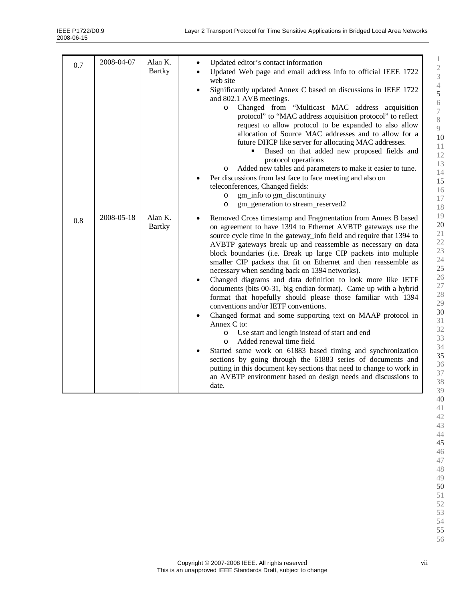| 0.7 | 2008-04-07 | Alan K.<br><b>Bartky</b> | Updated editor's contact information<br>Updated Web page and email address info to official IEEE 1722<br>web site<br>Significantly updated Annex C based on discussions in IEEE 1722<br>$\bullet$<br>and 802.1 AVB meetings.<br>Changed from "Multicast MAC address acquisition<br>$\circ$<br>protocol" to "MAC address acquisition protocol" to reflect<br>request to allow protocol to be expanded to also allow<br>allocation of Source MAC addresses and to allow for a<br>future DHCP like server for allocating MAC addresses.<br>Based on that added new proposed fields and<br>٠<br>protocol operations<br>Added new tables and parameters to make it easier to tune.<br>O<br>Per discussions from last face to face meeting and also on<br>teleconferences, Changed fields:<br>gm_info to gm_discontinuity<br>$\circ$<br>gm_generation to stream_reserved2<br>$\circ$                                                                                                                                                                                                                                                                                                                                      |
|-----|------------|--------------------------|---------------------------------------------------------------------------------------------------------------------------------------------------------------------------------------------------------------------------------------------------------------------------------------------------------------------------------------------------------------------------------------------------------------------------------------------------------------------------------------------------------------------------------------------------------------------------------------------------------------------------------------------------------------------------------------------------------------------------------------------------------------------------------------------------------------------------------------------------------------------------------------------------------------------------------------------------------------------------------------------------------------------------------------------------------------------------------------------------------------------------------------------------------------------------------------------------------------------|
| 0.8 | 2008-05-18 | Alan K.<br><b>Bartky</b> | Removed Cross timestamp and Fragmentation from Annex B based<br>$\bullet$<br>on agreement to have 1394 to Ethernet AVBTP gateways use the<br>source cycle time in the gateway_info field and require that 1394 to<br>AVBTP gateways break up and reassemble as necessary on data<br>block boundaries (i.e. Break up large CIP packets into multiple<br>smaller CIP packets that fit on Ethernet and then reassemble as<br>necessary when sending back on 1394 networks).<br>Changed diagrams and data definition to look more like IETF<br>$\bullet$<br>documents (bits 00-31, big endian format). Came up with a hybrid<br>format that hopefully should please those familiar with 1394<br>conventions and/or IETF conventions.<br>Changed format and some supporting text on MAAP protocol in<br>$\bullet$<br>Annex C to:<br>Use start and length instead of start and end<br>$\circ$<br>Added renewal time field<br>$\circ$<br>Started some work on 61883 based timing and synchronization<br>٠<br>sections by going through the 61883 series of documents and<br>putting in this document key sections that need to change to work in<br>an AVBTP environment based on design needs and discussions to<br>date. |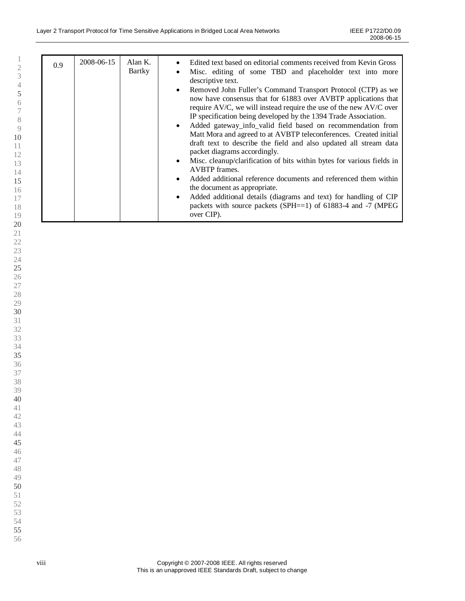| 0.9 | 2008-06-15 | Alan $K$ .<br>Bartky | Edited text based on editorial comments received from Kevin Gross<br>$\bullet$<br>Misc. editing of some TBD and placeholder text into more<br>$\bullet$<br>descriptive text.<br>Removed John Fuller's Command Transport Protocol (CTP) as we<br>$\bullet$<br>now have consensus that for 61883 over AVBTP applications that<br>require AV/C, we will instead require the use of the new AV/C over<br>IP specification being developed by the 1394 Trade Association.<br>Added gateway_info_valid field based on recommendation from<br>$\bullet$<br>Matt Mora and agreed to at AVBTP teleconferences. Created initial<br>draft text to describe the field and also updated all stream data<br>packet diagrams accordingly.<br>Misc. cleanup/clarification of bits within bytes for various fields in<br>$\bullet$<br>AVBTP frames.<br>Added additional reference documents and referenced them within<br>$\bullet$<br>the document as appropriate.<br>Added additional details (diagrams and text) for handling of CIP<br>$\bullet$ |
|-----|------------|----------------------|-------------------------------------------------------------------------------------------------------------------------------------------------------------------------------------------------------------------------------------------------------------------------------------------------------------------------------------------------------------------------------------------------------------------------------------------------------------------------------------------------------------------------------------------------------------------------------------------------------------------------------------------------------------------------------------------------------------------------------------------------------------------------------------------------------------------------------------------------------------------------------------------------------------------------------------------------------------------------------------------------------------------------------------|
|     |            |                      | packets with source packets (SPH $==1$ ) of 61883-4 and -7 (MPEG<br>over CIP).                                                                                                                                                                                                                                                                                                                                                                                                                                                                                                                                                                                                                                                                                                                                                                                                                                                                                                                                                      |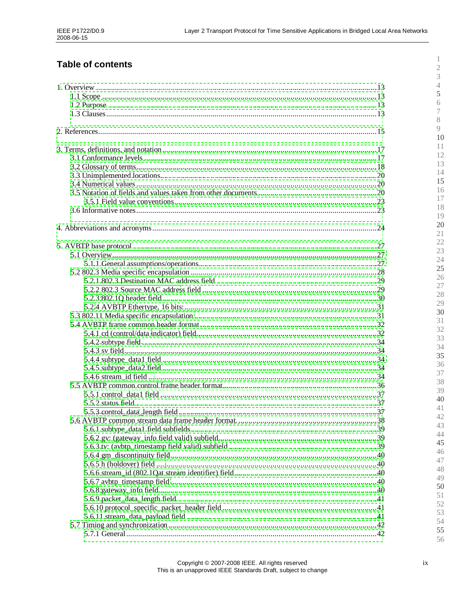# **Table of contents**

 $\,1\,$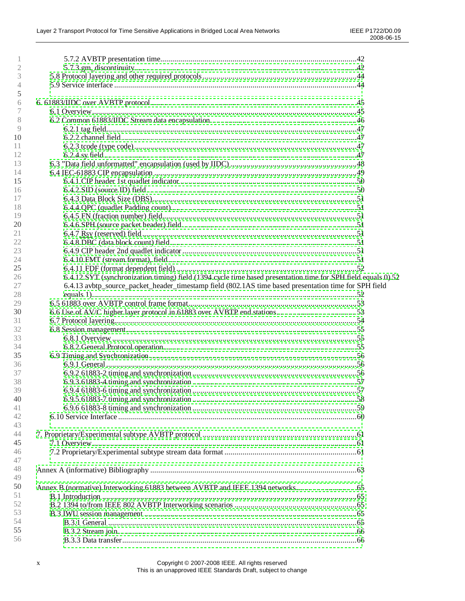| 2        |                                                                                                               |  |
|----------|---------------------------------------------------------------------------------------------------------------|--|
| 3        |                                                                                                               |  |
| 4        |                                                                                                               |  |
| 5        |                                                                                                               |  |
| 6        |                                                                                                               |  |
|          |                                                                                                               |  |
| 8        |                                                                                                               |  |
| 9        |                                                                                                               |  |
| 10       |                                                                                                               |  |
| 11       |                                                                                                               |  |
| 12       |                                                                                                               |  |
| 13       |                                                                                                               |  |
| 14       |                                                                                                               |  |
| 15       |                                                                                                               |  |
| 16       |                                                                                                               |  |
| 17       |                                                                                                               |  |
| 18       |                                                                                                               |  |
| 19       |                                                                                                               |  |
|          |                                                                                                               |  |
| 20<br>21 |                                                                                                               |  |
|          |                                                                                                               |  |
| 22       |                                                                                                               |  |
| 23       |                                                                                                               |  |
| 24       |                                                                                                               |  |
| 25       |                                                                                                               |  |
| 26       | 6.4.12 SYT (synchronization timing) field (1394 cycle time based presentation time for SPH field equals 0) 52 |  |
| 27       | 6.4.13 avbtp_source_packet_header_timestamp field (802.1AS time based presentation time for SPH field         |  |
| 28       |                                                                                                               |  |
| 29       |                                                                                                               |  |
| 30       |                                                                                                               |  |
| 31       |                                                                                                               |  |
| 32       |                                                                                                               |  |
| 33       |                                                                                                               |  |
| 34       |                                                                                                               |  |
| 35       |                                                                                                               |  |
| 36       |                                                                                                               |  |
| 37       |                                                                                                               |  |
| 38       |                                                                                                               |  |
| 39       |                                                                                                               |  |
| 40       |                                                                                                               |  |
| 41       |                                                                                                               |  |
| 42       |                                                                                                               |  |
| 43       |                                                                                                               |  |
| 44       |                                                                                                               |  |
| 45       |                                                                                                               |  |
| 46       |                                                                                                               |  |
| 47       |                                                                                                               |  |
| 48       |                                                                                                               |  |
| 49       |                                                                                                               |  |
| 50       | Annex B (normative) Interworking 61883 between AVBTP and IEEE 1394 networks                                   |  |
| 51       |                                                                                                               |  |
| 52       |                                                                                                               |  |
| 53       |                                                                                                               |  |
| 54       |                                                                                                               |  |
| 55       |                                                                                                               |  |
| 56       |                                                                                                               |  |
|          |                                                                                                               |  |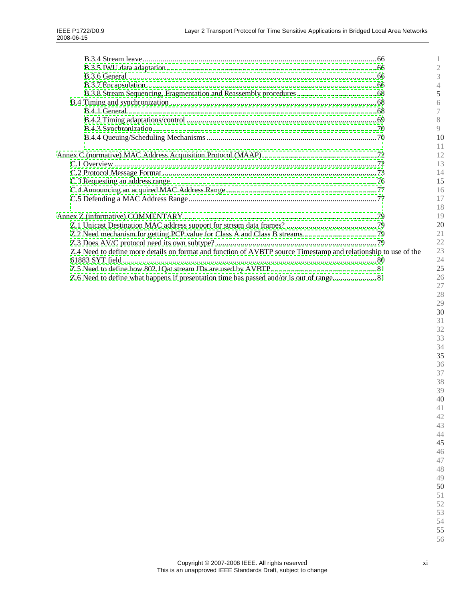|                                                                                                                 | 5  |
|-----------------------------------------------------------------------------------------------------------------|----|
|                                                                                                                 | 6  |
|                                                                                                                 |    |
|                                                                                                                 | 8  |
|                                                                                                                 | 9  |
|                                                                                                                 | 10 |
|                                                                                                                 | 11 |
|                                                                                                                 | 12 |
|                                                                                                                 | 13 |
|                                                                                                                 | 14 |
|                                                                                                                 | 15 |
|                                                                                                                 | 16 |
|                                                                                                                 | 17 |
|                                                                                                                 | 18 |
|                                                                                                                 | 19 |
|                                                                                                                 | 20 |
|                                                                                                                 | 21 |
|                                                                                                                 | 22 |
| Z.4 Need to define more details on format and function of AVBTP source Timestamp and relationship to use of the | 23 |
|                                                                                                                 | 24 |
|                                                                                                                 | 25 |
|                                                                                                                 | 26 |
|                                                                                                                 | 27 |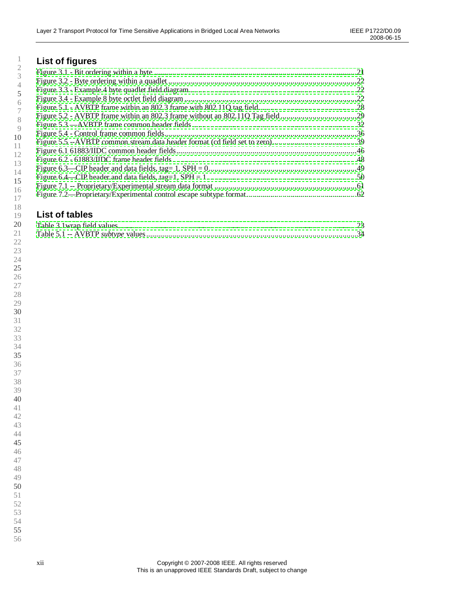# **List of figures**

# **List of tables**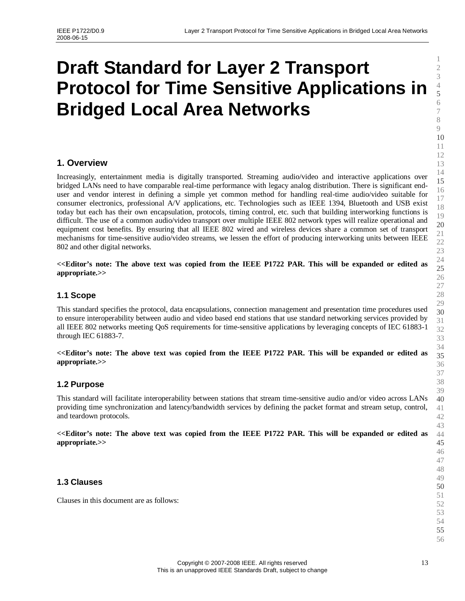# <span id="page-12-1"></span><span id="page-12-0"></span>**Draft Standard for Layer 2 Transport Protocol for Time Sensitive Applications in Bridged Local Area Networks**

## **1. Overview**

Increasingly, entertainment media is digitally transported. Streaming audio/video and interactive applications over bridged LANs need to have comparable real-time performance with legacy analog distribution. There is significant enduser and vendor interest in defining a simple yet common method for handling real-time audio/video suitable for consumer electronics, professional A/V applications, etc. Technologies such as IEEE 1394, Bluetooth and USB exist today but each has their own encapsulation, protocols, timing control, etc. such that building interworking functions is difficult. The use of a common audio/video transport over multiple IEEE 802 network types will realize operational and equipment cost benefits. By ensuring that all IEEE 802 wired and wireless devices share a common set of transport mechanisms for time-sensitive audio/video streams, we lessen the effort of producing interworking units between IEEE 802 and other digital networks.

**<<Editor's note: The above text was copied from the IEEE P1722 PAR. This will be expanded or edited as appropriate.>>**

#### **1.1 Scope**

This standard specifies the protocol, data encapsulations, connection management and presentation time procedures used to ensure interoperability between audio and video based end stations that use standard networking services provided by all IEEE 802 networks meeting QoS requirements for time-sensitive applications by leveraging concepts of IEC 61883-1 through IEC 61883-7.

**<<Editor's note: The above text was copied from the IEEE P1722 PAR. This will be expanded or edited as appropriate.>>**

#### **1.2 Purpose**

This standard will facilitate interoperability between stations that stream time-sensitive audio and/or video across LANs providing time synchronization and latency/bandwidth services by defining the packet format and stream setup, control, and teardown protocols.

**<<Editor's note: The above text was copied from the IEEE P1722 PAR. This will be expanded or edited as appropriate.>>**

#### **1.3 Clauses**

Clauses in this document are as follows: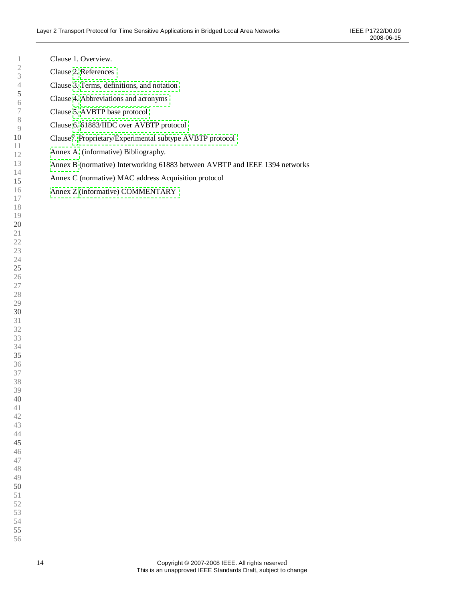| 1                                         | Clause 1. Overview.                                                         |
|-------------------------------------------|-----------------------------------------------------------------------------|
| $\sqrt{2}$<br>$\ensuremath{\mathfrak{Z}}$ | Clause 2. References                                                        |
| $\sqrt{4}$                                | Clause 3. Terms, definitions, and notation                                  |
| $\mathfrak s$<br>$\sqrt{6}$               | Clause 4. Abbreviations and acronyms                                        |
| $\boldsymbol{7}$                          | Clause 5. AVBTP base protocol                                               |
| $\,$ $\,$<br>9                            | Clause 6. 61883/IIDC over AVBTP protocol                                    |
| 10                                        | Clause7. Proprietary/Experimental subtype AVBTP protocol                    |
| 11<br>12                                  | Annex A. (informative) Bibliography.                                        |
| 13                                        | Annex B (normative) Interworking 61883 between AVBTP and IEEE 1394 networks |
| 14<br>15                                  | Annex C (normative) MAC address Acquisition protocol                        |
| 16                                        | Annex Z (informative) COMMENTARY                                            |
| 17<br>18                                  |                                                                             |
| 19                                        |                                                                             |
| 20<br>21                                  |                                                                             |
| 22                                        |                                                                             |
| 23                                        |                                                                             |
| 24<br>25                                  |                                                                             |
| 26                                        |                                                                             |
| 27<br>28                                  |                                                                             |
| 29                                        |                                                                             |
| 30<br>31                                  |                                                                             |
| 32                                        |                                                                             |
| 33<br>34                                  |                                                                             |
| 35                                        |                                                                             |
| 36                                        |                                                                             |
| 37<br>38                                  |                                                                             |
| 39                                        |                                                                             |
| 40<br>41                                  |                                                                             |
| 42                                        |                                                                             |
| 43<br>44                                  |                                                                             |
| 45                                        |                                                                             |
| 46<br>47                                  |                                                                             |
| 48                                        |                                                                             |
| 49<br>50                                  |                                                                             |
| 51                                        |                                                                             |
| 52<br>53                                  |                                                                             |
| 54                                        |                                                                             |
| 55                                        |                                                                             |
| 56                                        |                                                                             |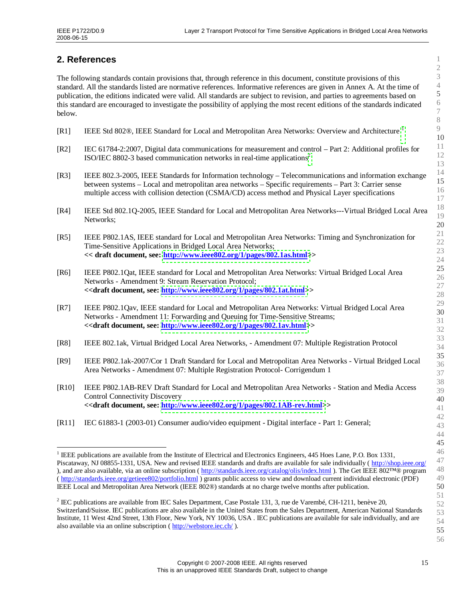## <span id="page-14-0"></span>**2. References**

The following standards contain provisions that, through reference in this document, constitute provisions of this standard. All the standards listed are normative references. Informative references are given in Annex A. At the time of publication, the editions indicated were valid. All standards are subject to revision, and parties to agreements based on this standard are encouraged to investigate the possibility of applying the most recent editions of the standards indicated below.

- [R[1](#page-14-1)] IEEE Std 802®, IEEE Standard for Local and Metropolitan Area Networks: Overview and Architecture <sup>1</sup>
- [R2] IEC 61784-2:2007, Digital data communications for measurement and control –Part 2: Additional profiles for ISO/IEC 880[2](#page-14-2)-3 based communication networks in real-time applications<sup>2</sup>
- [R3] IEEE 802.3-2005, IEEE Standards for Information technology –Telecommunications and information exchange between systems – Local and metropolitan area networks – Specific requirements – Part 3: Carrier sense multiple access with collision detection (CSMA/CD) access method and Physical Layer specifications
- [R4] IEEE Std 802.1Q-2005, IEEE Standard for Local and Metropolitan Area Networks---Virtual Bridged Local Area Networks;
- [R5] IEEE P802.1AS, IEEE standard for Local and Metropolitan Area Networks: Timing and Synchronization for Time-Sensitive Applications in Bridged Local Area Networks; **<< draft document, see: [http://www.ieee802.org/1/pages/802.1as.html>](http://www.ieee802.org/1/pages/802.1as.html)>**
- [R6] IEEE P802.1Qat, IEEE standard for Local and Metropolitan Area Networks: Virtual Bridged Local Area Networks - Amendment 9: Stream Reservation Protocol; **<<draft document, see: [http://www.ieee802.org/1/pages/802.1at.html>](http://www.ieee802.org/1/pages/802.1at.html)>**
- [R7] IEEE P802.1Qav, IEEE standard for Local and Metropolitan Area Networks: Virtual Bridged Local Area Networks - Amendment 11: Forwarding and Queuing for Time-Sensitive Streams; **<<draft document, see: [http://www.ieee802.org/1/pages/802.1av.html>](http://www.ieee802.org/1/pages/802.1av.html)>**
- [R8] IEEE 802.1ak, Virtual Bridged Local Area Networks, Amendment 07: Multiple Registration Protocol
- [R9] IEEE P802.1ak-2007/Cor 1 Draft Standard for Local and Metropolitan Area Networks Virtual Bridged Local Area Networks - Amendment 07: Multiple Registration Protocol- Corrigendum 1
- [R10] IEEE P802.1AB-REV Draft Standard for Local and Metropolitan Area Networks Station and Media Access Control Connectivity Discovery **<<draft document, see: [http://www.ieee802.org/1/pages/802.1AB-rev.html>](http://www.ieee802.org/1/pages/802.1AB-rev.html)>**
- [R11] IEC 61883-1 (2003-01) Consumer audio/video equipment Digital interface Part 1: General;

<span id="page-14-1"></span><sup>1</sup> IEEE publications are available from the Institute of Electrical and Electronics Engineers, 445 Hoes Lane, P.O. Box 1331, Piscataway, NJ 08855-1331, USA. New and revised IEEE standards and drafts are available for sale individually (http://shop.ieee.org/ ), and are also available, via an online subscription ( http://standards.ieee.org/catalog/olis/index.html ). The Get IEEE 802™® program ( http://standards.ieee.org/getieee802/portfolio.html ) grants public access to view and download current individual electronic (PDF) IEEE Local and Metropolitan Area Network (IEEE 802®) standards at no charge twelve months after publication.

<span id="page-14-2"></span><sup>2</sup> IEC publications are available from IEC Sales Department, Case Postale 131, 3, rue de Varembé, CH-1211, benève 20, Switzerland/Suisse. IEC publications are also available in the United States from the Sales Department, American National Standards Institute, 11 West 42nd Street, 13th Floor, New York, NY 10036, USA . IEC publications are available for sale individually, and are also available via an online subscription ( http://webstore.iec.ch/ ).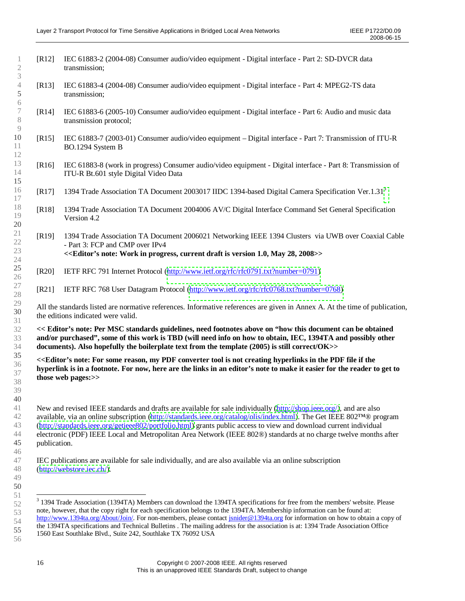<span id="page-15-1"></span>

| $[R12]$      | IEC 61883-2 (2004-08) Consumer audio/video equipment - Digital interface - Part 2: SD-DVCR data<br>transmission;                                                                                                                                                                                                                                                                                                                                                                        |
|--------------|-----------------------------------------------------------------------------------------------------------------------------------------------------------------------------------------------------------------------------------------------------------------------------------------------------------------------------------------------------------------------------------------------------------------------------------------------------------------------------------------|
| $[R13]$      | IEC 61883-4 (2004-08) Consumer audio/video equipment - Digital interface - Part 4: MPEG2-TS data<br>transmission;                                                                                                                                                                                                                                                                                                                                                                       |
| [R14]        | IEC 61883-6 (2005-10) Consumer audio/video equipment - Digital interface - Part 6: Audio and music data<br>transmission protocol;                                                                                                                                                                                                                                                                                                                                                       |
| $[R15]$      | IEC 61883-7 (2003-01) Consumer audio/video equipment – Digital interface - Part 7: Transmission of ITU-R<br>BO.1294 System B                                                                                                                                                                                                                                                                                                                                                            |
| $[R16]$      | IEC 61883-8 (work in progress) Consumer audio/video equipment - Digital interface - Part 8: Transmission of<br>ITU-R Bt.601 style Digital Video Data                                                                                                                                                                                                                                                                                                                                    |
| $[R17]$      | 1394 Trade Association TA Document 2003017 IIDC 1394-based Digital Camera Specification Ver.1.31 <sup>3</sup>                                                                                                                                                                                                                                                                                                                                                                           |
| [R18]        | 1394 Trade Association TA Document 2004006 AV/C Digital Interface Command Set General Specification<br>Version 4.2                                                                                                                                                                                                                                                                                                                                                                      |
| $[R19]$      | 1394 Trade Association TA Document 2006021 Networking IEEE 1394 Clusters via UWB over Coaxial Cable<br>- Part 3: FCP and CMP over IPv4<br>< <editor's 1.0,="" 2008="" 28,="" current="" draft="" in="" is="" may="" note:="" progress,="" version="" work="">&gt;</editor's>                                                                                                                                                                                                            |
| [R20]        | IETF RFC 791 Internet Protocol (http://www.ietf.org/rfc/rfc0791.txt?number=0791)                                                                                                                                                                                                                                                                                                                                                                                                        |
| [R21]        | IETF RFC 768 User Datagram Protocol (http://www.ietf.org/rfc/rfc0768.txt?number=0768)                                                                                                                                                                                                                                                                                                                                                                                                   |
|              | All the standards listed are normative references. Informative references are given in Annex A. At the time of publication,<br>the editions indicated were valid.                                                                                                                                                                                                                                                                                                                       |
|              | << Editor's note: Per MSC standards guidelines, need footnotes above on "how this document can be obtained<br>and/or purchased", some of this work is TBD (will need info on how to obtain, IEC, 1394TA and possibly other<br>documents). Also hopefully the boilerplate text from the template (2005) is still correct/OK>>                                                                                                                                                            |
|              | << Editor's note: For some reason, my PDF converter tool is not creating hyperlinks in the PDF file if the<br>hyperlink is in a footnote. For now, here are the links in an editor's note to make it easier for the reader to get to<br>those web pages:>>                                                                                                                                                                                                                              |
| publication. | New and revised IEEE standards and drafts are available for sale individually (http://shop.ieee.org/), and are also<br>available, via an online subscription (http://standards.ieee.org/catalog/olis/index.html). The Get IEEE 802TM® program<br>(http://standards.ieee.org/getieee802/portfolio.html) grants public access to view and download current individual<br>electronic (PDF) IEEE Local and Metropolitan Area Network (IEEE 802®) standards at no charge twelve months after |
|              | IEC publications are available for sale individually, and are also available via an online subscription<br>(http://webstore.iec.ch/).                                                                                                                                                                                                                                                                                                                                                   |
|              | <sup>3</sup> 1394 Trade Association (1394TA) Members can download the 1394TA specifications for free from the members' website. Please                                                                                                                                                                                                                                                                                                                                                  |

<span id="page-15-0"></span>note, however, that the copy right for each specification belongs to the 1394TA. Membership information can be found at: http://www.1394ta.org/About/Join/. For non-members, please contact jsnider@1394ta.org for information on how to obtain a copy of the 1394TA specifications and Technical Bulletins . The mailing address for the association is at: 1394 Trade Association Office 1560 East Southlake Blvd., Suite 242, Southlake TX 76092 USA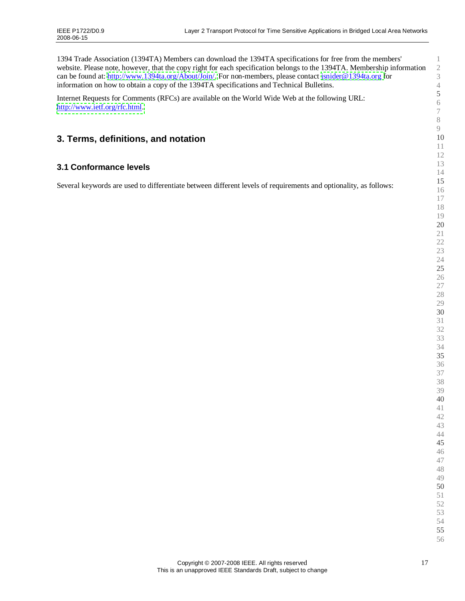<span id="page-16-1"></span><span id="page-16-0"></span>

| 1394 Trade Association (1394TA) Members can download the 1394TA specifications for free from the members'<br>website. Please note, however, that the copy right for each specification belongs to the 1394TA. Membership information<br>can be found at: http://www.1394ta.org/About/Join/. For non-members, please contact jsnider@1394ta.org for<br>information on how to obtain a copy of the 1394TA specifications and Technical Bulletins. | $\mathbf{1}$<br>$\mathbf{2}$<br>$\mathfrak{Z}$<br>$\sqrt{4}$ |
|-------------------------------------------------------------------------------------------------------------------------------------------------------------------------------------------------------------------------------------------------------------------------------------------------------------------------------------------------------------------------------------------------------------------------------------------------|--------------------------------------------------------------|
| Internet Requests for Comments (RFCs) are available on the World Wide Web at the following URL:<br>http://www.ietf.org/rfc.html.                                                                                                                                                                                                                                                                                                                | $\sqrt{5}$<br>$\sqrt{6}$<br>$\boldsymbol{7}$                 |
| 3. Terms, definitions, and notation                                                                                                                                                                                                                                                                                                                                                                                                             | $8\,$<br>9<br>10<br>11                                       |
| 3.1 Conformance levels                                                                                                                                                                                                                                                                                                                                                                                                                          | 12<br>13<br>14                                               |
| Several keywords are used to differentiate between different levels of requirements and optionality, as follows:                                                                                                                                                                                                                                                                                                                                | 15<br>16<br>17<br>18<br>19<br>20                             |
|                                                                                                                                                                                                                                                                                                                                                                                                                                                 | 21<br>22<br>23<br>24<br>25                                   |
|                                                                                                                                                                                                                                                                                                                                                                                                                                                 | 26<br>$27\,$<br>28<br>29<br>30                               |
|                                                                                                                                                                                                                                                                                                                                                                                                                                                 | 31<br>32<br>33<br>34                                         |
|                                                                                                                                                                                                                                                                                                                                                                                                                                                 | 35<br>36<br>37<br>38                                         |
|                                                                                                                                                                                                                                                                                                                                                                                                                                                 | 39<br>40<br>$41\,$<br>42<br>43                               |
|                                                                                                                                                                                                                                                                                                                                                                                                                                                 | 44<br>45<br>46<br>47<br>48<br>49                             |
|                                                                                                                                                                                                                                                                                                                                                                                                                                                 | 50<br>51<br>52<br>53<br>54                                   |
|                                                                                                                                                                                                                                                                                                                                                                                                                                                 | 55<br>56                                                     |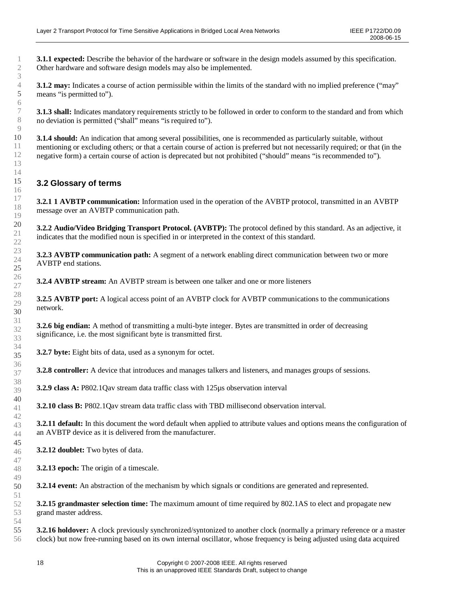<span id="page-17-0"></span>**3.1.1 expected:** Describe the behavior of the hardware or software in the design models assumed by this specification. Other hardware and software design models may also be implemented.

**3.1.2** may: Indicates a course of action permissible within the limits of the standard with no implied preference ("may" means "is permitted to").

**3.1.3 shall:** Indicates mandatory requirements strictly to be followed in order to conform to the standard and from which no deviation is permitted ("shall" means "is required to").

**3.1.4 should:** An indication that among several possibilities, one is recommended as particularly suitable, without mentioning or excluding others; or that a certain course of action is preferred but not necessarily required; or that (in the negative form) a certain course of action is deprecated but not prohibited ("should"means "is recommended to").

## **3.2 Glossary of terms**

**3.2.1 1 AVBTP communication:** Information used in the operation of the AVBTP protocol, transmitted in an AVBTP message over an AVBTP communication path.

**3.2.2 Audio/Video Bridging Transport Protocol. (AVBTP):** The protocol defined by this standard. As an adjective, it indicates that the modified noun is specified in or interpreted in the context of this standard.

**3.2.3 AVBTP communication path:** A segment of a network enabling direct communication between two or more AVBTP end stations.

**3.2.4 AVBTP stream:** An AVBTP stream is between one talker and one or more listeners

**3.2.5 AVBTP port:** A logical access point of an AVBTP clock for AVBTP communications to the communications network.

**3.2.6 big endian:** A method of transmitting a multi-byte integer. Bytes are transmitted in order of decreasing significance, i.e. the most significant byte is transmitted first.

**3.2.7 byte:** Eight bits of data, used as a synonym for octet.

**3.2.8 controller:** A device that introduces and manages talkers and listeners, and manages groups of sessions.

**3.2.9 class A:** P802.1Qav stream data traffic class with 125µs observation interval

**3.2.10 class B:** P802.1Qav stream data traffic class with TBD millisecond observation interval.

**3.2.11 default:** In this document the word default when applied to attribute values and options means the configuration of an AVBTP device as it is delivered from the manufacturer.

**3.2.12 doublet:** Two bytes of data.

**3.2.13 epoch:** The origin of a timescale.

**3.2.14 event:** An abstraction of the mechanism by which signals or conditions are generated and represented.

**3.2.15 grandmaster selection time:** The maximum amount of time required by 802.1AS to elect and propagate new grand master address.

**3.2.16 holdover:** A clock previously synchronized/syntonized to another clock (normally a primary reference or a master clock) but now free-running based on its own internal oscillator, whose frequency is being adjusted using data acquired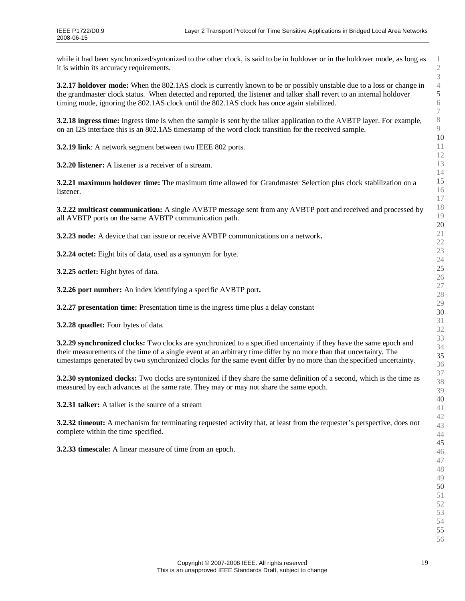while it had been synchronized/syntonized to the other clock, is said to be in holdover or in the holdover mode, as long as it is within its accuracy requirements.

**3.2.17 holdover mode:** When the 802.1AS clock is currently known to be or possibly unstable due to a loss or change in the grandmaster clock status. When detected and reported, the listener and talker shall revert to an internal holdover timing mode, ignoring the 802.1AS clock until the 802.1AS clock has once again stabilized.

**3.2.18 ingress time:** Ingress time is when the sample is sent by the talker application to the AVBTP layer. For example, on an I2S interface this is an 802.1AS timestamp of the word clock transition for the received sample.

**3.2.19 link**: A network segment between two IEEE 802 ports.

**3.2.20 listener:** A listener is a receiver of a stream.

**3.2.21 maximum holdover time:** The maximum time allowed for Grandmaster Selection plus clock stabilization on a listener.

**3.2.22 multicast communication:** A single AVBTP message sent from any AVBTP port and received and processed by all AVBTP ports on the same AVBTP communication path.

**3.2.23 node:** A device that can issue or receive AVBTP communications on a network**.**

**3.2.24 octet:** Eight bits of data, used as a synonym for byte.

**3.2.25 octlet:** Eight bytes of data.

**3.2.26 port number:** An index identifying a specific AVBTP port**.**

**3.2.27 presentation time:** Presentation time is the ingress time plus a delay constant

**3.2.28 quadlet:** Four bytes of data.

**3.2.29 synchronized clocks:** Two clocks are synchronized to a specified uncertainty if they have the same epoch and their measurements of the time of a single event at an arbitrary time differ by no more than that uncertainty. The timestamps generated by two synchronized clocks for the same event differ by no more than the specified uncertainty.

**3.2.30 syntonized clocks:** Two clocks are syntonized if they share the same definition of a second, which is the time as measured by each advances at the same rate. They may or may not share the same epoch.

**3.2.31 talker:** A talker is the source of a stream

**3.2.32 timeout:** A mechanism for terminating requested activity that, at least from the requester's perspective, does not complete within the time specified.

**3.2.33 timescale:** A linear measure of time from an epoch.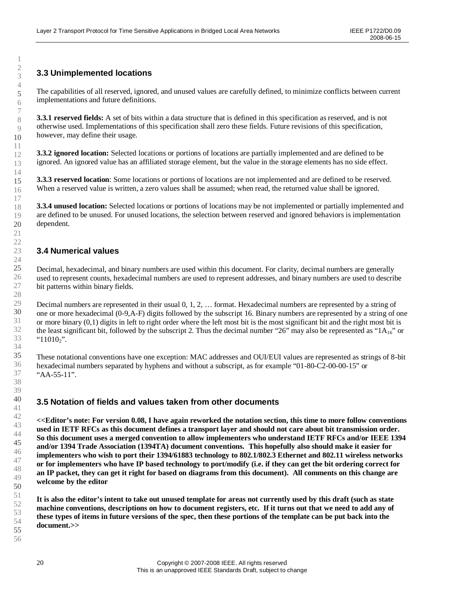# <span id="page-19-1"></span><span id="page-19-0"></span>**3.3 Unimplemented locations**

The capabilities of all reserved, ignored, and unused values are carefully defined, to minimize conflicts between current implementations and future definitions.

**3.3.1 reserved fields:** A set of bits within a data structure that is defined in this specification as reserved, and is not otherwise used. Implementations of this specification shall zero these fields. Future revisions of this specification, however, may define their usage.

**3.3.2 ignored location:** Selected locations or portions of locations are partially implemented and are defined to be ignored. An ignored value has an affiliated storage element, but the value in the storage elements has no side effect.

**3.3.3 reserved location**: Some locations or portions of locations are not implemented and are defined to be reserved. When a reserved value is written, a zero values shall be assumed; when read, the returned value shall be ignored.

**3.3.4 unused location:** Selected locations or portions of locations may be not implemented or partially implemented and are defined to be unused. For unused locations, the selection between reserved and ignored behaviors is implementation dependent.

#### **3.4 Numerical values**

Decimal, hexadecimal, and binary numbers are used within this document. For clarity, decimal numbers are generally used to represent counts, hexadecimal numbers are used to represent addresses, and binary numbers are used to describe bit patterns within binary fields.

Decimal numbers are represented in their usual 0, 1, 2, … format. Hexadecimal numbers are represented by a string of one or more hexadecimal (0-9,A-F) digits followed by the subscript 16. Binary numbers are represented by a string of one or more binary (0,1) digits in left to right order where the left most bit is the most significant bit and the right most bit is the least significant bit, followed by the subscript 2. Thus the decimal number "26" may also be represented as " $1A_{16}$ " or " $11010_2$ ".

These notational conventions have one exception: MAC addresses and OUI/EUI values are represented as strings of 8-bit hexadecimal numbers separated by hyphens and without a subscript, as for example "01-80-C2-00-00-15" or "AA-55-11".

#### **3.5 Notation of fields and values taken from other documents**

**<<Editor's note: For version 0.08, I have again reworked the notation section, this time to more follow conventions used in IETF RFCs as this document defines a transport layer and should not care about bit transmission order. So this document uses a merged convention to allow implementers who understand IETF RFCs and/or IEEE 1394 and/or 1394 Trade Association (1394TA) document conventions. This hopefully also should make it easier for implementers who wish to port their 1394/61883 technology to 802.1/802.3 Ethernet and 802.11 wireless networks or for implementers who have IP based technology to port/modify (i.e. if they can get the bit ordering correct for an IP packet, they can get it right for based on diagrams from this document). All comments on this change are welcome by the editor**

**It is also the editor's intent to take out unused template for areas not currently used by this draft (such as state machine conventions, descriptions on how to document registers, etc. If it turns out that we need to add any of these types of items in future versions of the spec, then these portions of the template can be put back into the document.>>**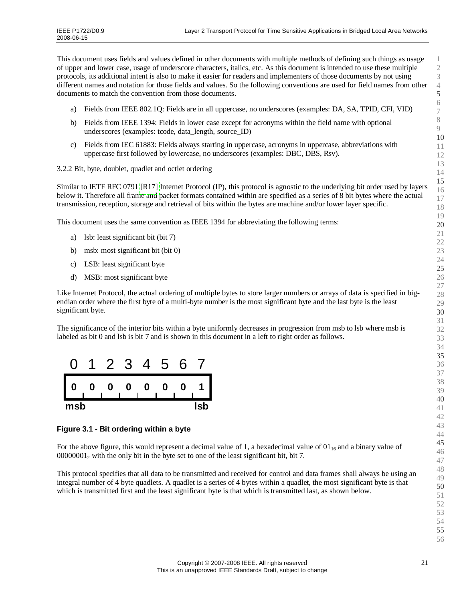<span id="page-20-0"></span>This document uses fields and values defined in other documents with multiple methods of defining such things as usage of upper and lower case, usage of underscore characters, italics, etc. As this document is intended to use these multiple protocols, its additional intent is also to make it easier for readers and implementers of those documents by not using different names and notation for those fields and values. So the following conventions are used for field names from other documents to match the convention from those documents.

- a) Fields from IEEE 802.1Q: Fields are in all uppercase, no underscores (examples: DA, SA, TPID, CFI, VID)
- b) Fields from IEEE 1394: Fields in lower case except for acronyms within the field name with optional underscores (examples: tcode, data\_length, source\_ID)
- c) Fields from IEC 61883: Fields always starting in uppercase, acronyms in uppercase, abbreviations with uppercase first followed by lowercase, no underscores (examples: DBC, DBS, Rsv).

3.2.2 Bit, byte, doublet, quadlet and octlet ordering

Similar to IETF RFC 0791 [\[R17\]](#page-15-1) Internet Protocol (IP), this protocol is agnostic to the underlying bit order used by layers below it. Therefore all frame and packet formats contained within are specified as a series of 8 bit bytes where the actual transmission, reception, storage and retrieval of bits within the bytes are machine and/or lower layer specific.

This document uses the same convention as IEEE 1394 for abbreviating the following terms:

- a) lsb: least significant bit (bit 7)
- b) msb: most significant bit (bit 0)
- c) LSB: least significant byte
- d) MSB: most significant byte

Like Internet Protocol, the actual ordering of multiple bytes to store larger numbers or arrays of data is specified in bigendian order where the first byte of a multi-byte number is the most significant byte and the last byte is the least significant byte.

The significance of the interior bits within a byte uniformly decreases in progression from msb to lsb where msb is labeled as bit 0 and lsb is bit 7 and is shown in this document in a left to right order as follows.



#### **Figure 3.1 - Bit ordering within a byte**

For the above figure, this would represent a decimal value of 1, a hexadecimal value of  $01_{16}$  and a binary value of <sub>2</sub> with the only bit in the byte set to one of the least significant bit, bit 7.

This protocol specifies that all data to be transmitted and received for control and data frames shall always be using an integral number of 4 byte quadlets. A quadlet is a series of 4 bytes within a quadlet, the most significant byte is that which is transmitted first and the least significant byte is that which is transmitted last, as shown below.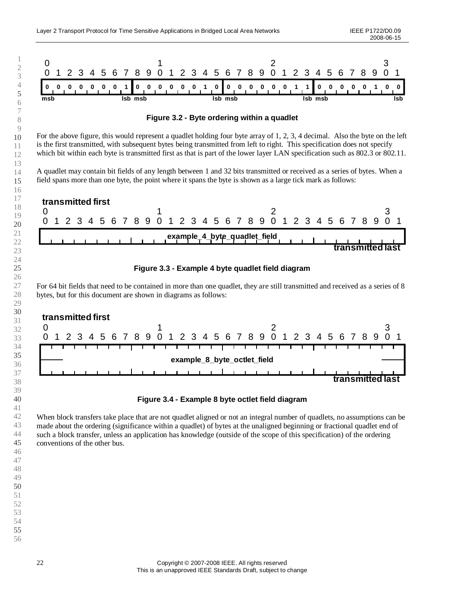

<span id="page-21-2"></span><span id="page-21-1"></span><span id="page-21-0"></span>**Figure 3.2 - Byte ordering within a quadlet**

For the above figure, this would represent a quadlet holding four byte array of 1, 2, 3, 4 decimal. Also the byte on the left is the first transmitted, with subsequent bytes being transmitted from left to right. This specification does not specify which bit within each byte is transmitted first as that is part of the lower layer LAN specification such as 802.3 or 802.11.

A quadlet may contain bit fields of any length between 1 and 32 bits transmitted or received as a series of bytes. When a field spans more than one byte, the point where it spans the byte is shown as a large tick mark as follows:





For 64 bit fields that need to be contained in more than one quadlet, they are still transmitted and received as a series of 8 bytes, but for this document are shown in diagrams as follows:



**Figure 3.4 - Example 8 byte octlet field diagram**

When block transfers take place that are not quadlet aligned or not an integral number of quadlets, no assumptions can be made about the ordering (significance within a quadlet) of bytes at the unaligned beginning or fractional quadlet end of such a block transfer, unless an application has knowledge (outside of the scope of this specification) of the ordering conventions of the other bus.

 Copyright © 2007-2008 IEEE. All rights reserved This is an unapproved IEEE Standards Draft, subject to change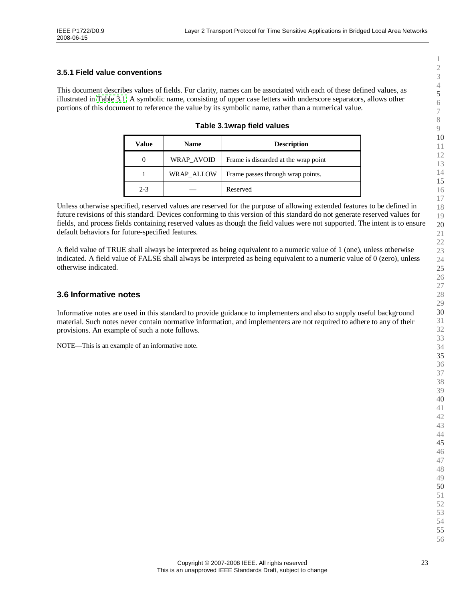#### <span id="page-22-1"></span><span id="page-22-0"></span>**3.5.1 Field value conventions**

This document describes values of fields. For clarity, names can be associated with each of these defined values, as illustrated in [Table](#page-22-3) 3.1. A symbolic name, consisting of upper case letters with underscore separators, allows other portions of this document to reference the value by its symbolic name, rather than a numerical value.

<span id="page-22-3"></span><span id="page-22-2"></span>

| Table 3.1wrap field values |  |  |
|----------------------------|--|--|
|----------------------------|--|--|

| Value   | <b>Name</b> | <b>Description</b>                   |
|---------|-------------|--------------------------------------|
|         | WRAP AVOID  | Frame is discarded at the wrap point |
|         | WRAP ALLOW  | Frame passes through wrap points.    |
| $2 - 3$ |             | Reserved                             |

Unless otherwise specified, reserved values are reserved for the purpose of allowing extended features to be defined in future revisions of this standard. Devices conforming to this version of this standard do not generate reserved values for fields, and process fields containing reserved values as though the field values were not supported. The intent is to ensure default behaviors for future-specified features.

A field value of TRUE shall always be interpreted as being equivalent to a numeric value of 1 (one), unless otherwise indicated. A field value of FALSE shall always be interpreted as being equivalent to a numeric value of 0 (zero), unless otherwise indicated.

#### **3.6 Informative notes**

Informative notes are used in this standard to provide guidance to implementers and also to supply useful background material. Such notes never contain normative information, and implementers are not required to adhere to any of their provisions. An example of such a note follows.

NOTE— This is an example of an informative note.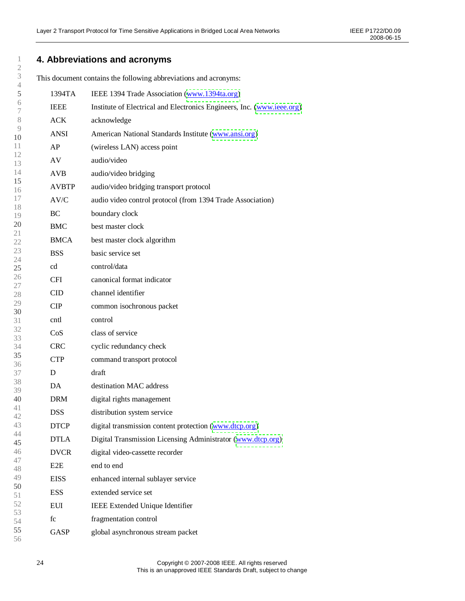# <span id="page-23-0"></span>**4. Abbreviations and acronyms**

This document contains the following abbreviations and acronyms:

| $^{+}$        |                  |                                                                        |
|---------------|------------------|------------------------------------------------------------------------|
| $\mathfrak s$ | 1394TA           | IEEE 1394 Trade Association (www.1394ta.org)                           |
| 6<br>7        | <b>IEEE</b>      | Institute of Electrical and Electronics Engineers, Inc. (www.ieee.org) |
| $8\,$         | ACK              | acknowledge                                                            |
| $\circ$<br>10 | <b>ANSI</b>      | American National Standards Institute (www.ansi.org)                   |
| 11            | AP               | (wireless LAN) access point                                            |
| 12<br>13      | AV               | audio/video                                                            |
| 14            | <b>AVB</b>       | audio/video bridging                                                   |
| 15<br>16      | <b>AVBTP</b>     | audio/video bridging transport protocol                                |
| 17            | AV/C             | audio video control protocol (from 1394 Trade Association)             |
| 18<br>19      | BC               | boundary clock                                                         |
| 20<br>21      | <b>BMC</b>       | best master clock                                                      |
| 22            | <b>BMCA</b>      | best master clock algorithm                                            |
| 23<br>24      | <b>BSS</b>       | basic service set                                                      |
| 25            | cd               | control/data                                                           |
| 26<br>27      | <b>CFI</b>       | canonical format indicator                                             |
| 28            | CID              | channel identifier                                                     |
| 29<br>30      | CIP              | common isochronous packet                                              |
| 31            | cntl             | control                                                                |
| 32<br>33      | CoS              | class of service                                                       |
| 34            | <b>CRC</b>       | cyclic redundancy check                                                |
| 35<br>36      | <b>CTP</b>       | command transport protocol                                             |
| 37            | D                | draft                                                                  |
| 38<br>39      | DA               | destination MAC address                                                |
| 40            | <b>DRM</b>       | digital rights management                                              |
| 41<br>42      | <b>DSS</b>       | distribution system service                                            |
| 43            | <b>DTCP</b>      | digital transmission content protection (www.dtcp.org)                 |
| 44<br>45      | <b>DTLA</b>      | Digital Transmission Licensing Administrator (www.dtcp.org)            |
| 46            | <b>DVCR</b>      | digital video-cassette recorder                                        |
| 47<br>48      | E <sub>2</sub> E | end to end                                                             |
| 49            | <b>EISS</b>      | enhanced internal sublayer service                                     |
| 50<br>51      | <b>ESS</b>       | extended service set                                                   |
| 52            | EUI              | <b>IEEE Extended Unique Identifier</b>                                 |
| 53<br>54      | fc               | fragmentation control                                                  |
| 55            | <b>GASP</b>      | global asynchronous stream packet                                      |
| 56            |                  |                                                                        |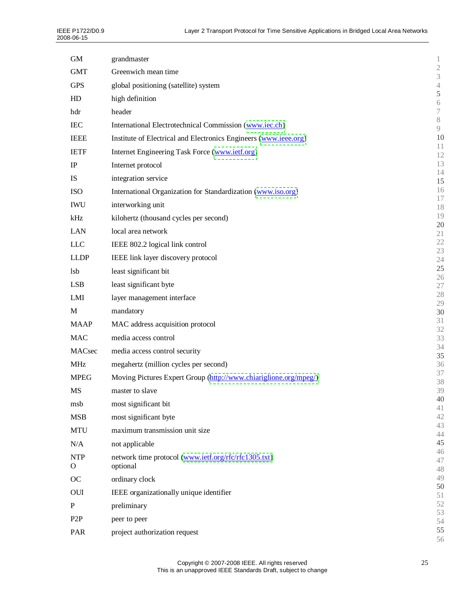| <b>GM</b>        | grandmaster                                                      | 1                              |
|------------------|------------------------------------------------------------------|--------------------------------|
| <b>GMT</b>       | Greenwich mean time                                              | $\mathbf{2}$<br>$\mathfrak{Z}$ |
| <b>GPS</b>       | global positioning (satellite) system                            | $\overline{4}$                 |
| HD               | high definition                                                  | 5                              |
| hdr              | header                                                           | $\sqrt{6}$<br>$\boldsymbol{7}$ |
| <b>IEC</b>       | International Electrotechnical Commission (www.iec.ch)           | $8\,$                          |
| <b>IEEE</b>      | Institute of Electrical and Electronics Engineers (www.ieee.org) | $\overline{9}$<br>10           |
|                  |                                                                  | 11                             |
| <b>IETF</b>      | Internet Engineering Task Force (www.ietf.org)                   | 12                             |
| IP               | Internet protocol                                                | 13<br>14                       |
| <b>IS</b>        | integration service                                              | 15                             |
| <b>ISO</b>       | International Organization for Standardization (www.iso.org)     | 16<br>17                       |
| <b>IWU</b>       | interworking unit                                                | 18                             |
| kHz              | kilohertz (thousand cycles per second)                           | 19                             |
| <b>LAN</b>       | local area network                                               | 20<br>21                       |
| <b>LLC</b>       | IEEE 802.2 logical link control                                  | 22                             |
| <b>LLDP</b>      | IEEE link layer discovery protocol                               | 23<br>24                       |
| <b>lsb</b>       | least significant bit                                            | 25                             |
| <b>LSB</b>       | least significant byte                                           | 26                             |
| LMI              | layer management interface                                       | 27<br>28                       |
|                  |                                                                  | 29                             |
| M                | mandatory                                                        | 30<br>31                       |
| <b>MAAP</b>      | MAC address acquisition protocol                                 | 32                             |
| <b>MAC</b>       | media access control                                             | 33                             |
| MACsec           | media access control security                                    | 34<br>35                       |
| <b>MHz</b>       | megahertz (million cycles per second)                            | 36                             |
| <b>MPEG</b>      | Moving Pictures Expert Group (http://www.chiariglione.org/mpeg/) | 37<br>38                       |
| MS               | master to slave                                                  | 39                             |
| msb              | most significant bit                                             | 40<br>41                       |
| <b>MSB</b>       | most significant byte                                            | 42                             |
| <b>MTU</b>       | maximum transmission unit size                                   | 43                             |
| N/A              | not applicable                                                   | 44<br>45                       |
| <b>NTP</b>       | network time protocol (www.ietf.org/rfc/rfc1305.txt)             | 46                             |
| $\circ$          | optional                                                         | 47<br>48                       |
| OC               | ordinary clock                                                   | 49                             |
| OUI              | IEEE organizationally unique identifier                          | 50                             |
| P                | preliminary                                                      | 51<br>52                       |
| P <sub>2</sub> P | peer to peer                                                     | 53                             |
|                  |                                                                  | 54<br>55                       |
| <b>PAR</b>       | project authorization request                                    | 56                             |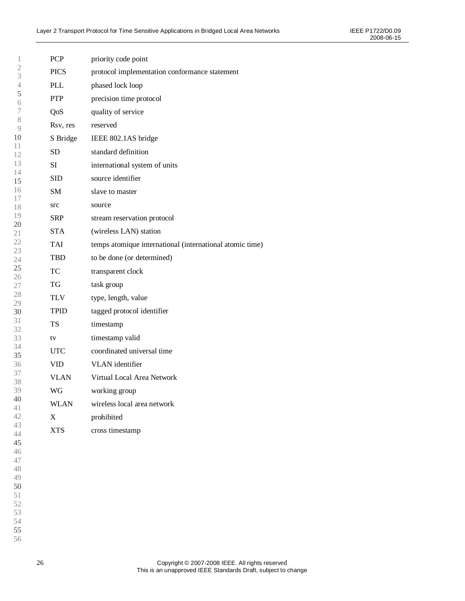| 1                   | <b>PCP</b>  | priority code point                                      |
|---------------------|-------------|----------------------------------------------------------|
| $\sqrt{2}$<br>3     | <b>PICS</b> | protocol implementation conformance statement            |
| $\overline{4}$      | <b>PLL</b>  | phased lock loop                                         |
| 5<br>6              | <b>PTP</b>  | precision time protocol                                  |
| 7                   | QoS         | quality of service                                       |
| 8<br>$\overline{9}$ | Rsv, res    | reserved                                                 |
| 10                  | S Bridge    | IEEE 802.1AS bridge                                      |
| 11<br>12            | SD          | standard definition                                      |
| 13                  | SI          | international system of units                            |
| 14<br>15            | <b>SID</b>  | source identifier                                        |
| 16                  | SM          | slave to master                                          |
| 17<br>18            | src         | source                                                   |
| 19<br>20            | <b>SRP</b>  | stream reservation protocol                              |
| 21                  | <b>STA</b>  | (wireless LAN) station                                   |
| 22<br>23            | TAI         | temps atomique international (international atomic time) |
| 24                  | TBD         | to be done (or determined)                               |
| 25<br>26            | TC          | transparent clock                                        |
| 27                  | TG          | task group                                               |
| 28<br>29            | TLV         | type, length, value                                      |
| 30                  | <b>TPID</b> | tagged protocol identifier                               |
| 31<br>32            | <b>TS</b>   | timestamp                                                |
| 33                  | tv          | timestamp valid                                          |
| 34<br>35            | <b>UTC</b>  | coordinated universal time                               |
| 36                  | <b>VID</b>  | VLAN identifier                                          |
| 37<br>38            | <b>VLAN</b> | Virtual Local Area Network                               |
| 39                  | WG          | working group                                            |
| 40<br>41            | WLAN        | wireless local area network                              |
| 42                  | X           | prohibited                                               |
| 43<br>44            | <b>XTS</b>  | cross timestamp                                          |
| 45                  |             |                                                          |
| 46<br>47            |             |                                                          |
| 48                  |             |                                                          |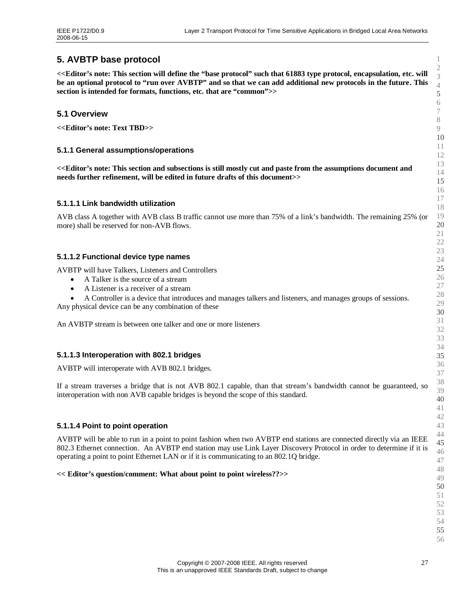# <span id="page-26-0"></span>**5. AVBTP base protocol**

<span id="page-26-2"></span><span id="page-26-1"></span>**<<Editor's note: This section will define the "base protocol"such that 61883 type protocol, encapsulation, etc. will be an optional protocol to "run over AVBTP"and so that we can add additional new protocols in the future. This section is intended for formats, functions, etc. that are "common">>**

#### **5.1 Overview**

**<<Editor's note: Text TBD>>**

#### **5.1.1 General assumptions/operations**

**<<Editor's note: This section and subsections is still mostly cut and paste from the assumptions document and needs further refinement, will be edited in future drafts of this document>>**

#### **5.1.1.1 Link bandwidth utilization**

AVB class A together with AVB class B traffic cannot use more than 75% of a link's bandwidth. The remaining 25% (or more) shall be reserved for non-AVB flows.

#### **5.1.1.2 Functional device type names**

AVBTP will have Talkers, Listeners and Controllers

- A Talker is the source of a stream
- A Listener is a receiver of a stream
- A Controller is a device that introduces and manages talkers and listeners, and manages groups of sessions.

Any physical device can be any combination of these

An AVBTP stream is between one talker and one or more listeners

#### **5.1.1.3 Interoperation with 802.1 bridges**

AVBTP will interoperate with AVB 802.1 bridges.

If a stream traverses a bridge that is not AVB 802.1 capable, than that stream's bandwidth cannot be guaranteed, so interoperation with non AVB capable bridges is beyond the scope of this standard.

#### **5.1.1.4 Point to point operation**

AVBTP will be able to run in a point to point fashion when two AVBTP end stations are connected directly via an IEEE 802.3 Ethernet connection. An AVBTP end station may use Link Layer Discovery Protocol in order to determine if it is operating a point to point Ethernet LAN or if it is communicating to an 802.1Q bridge.

#### **<< Editor's question/comment: What about point to point wireless??>>**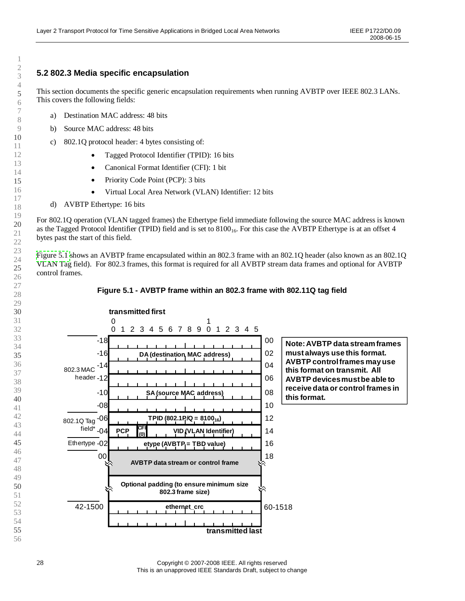### <span id="page-27-1"></span><span id="page-27-0"></span>**5.2 802.3 Media specific encapsulation**

This section documents the specific generic encapsulation requirements when running AVBTP over IEEE 802.3 LANs. This covers the following fields:

- a) Destination MAC address: 48 bits
- b) Source MAC address: 48 bits
- c) 802.1Q protocol header: 4 bytes consisting of:
	- Tagged Protocol Identifier (TPID): 16 bits
	- Canonical Format Identifier (CFI): 1 bit
	- Priority Code Point (PCP): 3 bits
	- Virtual Local Area Network (VLAN) Identifier: 12 bits
- d) AVBTP Ethertype: 16 bits

For 802.1Q operation (VLAN tagged frames) the Ethertype field immediate following the source MAC address is known as the Tagged Protocol Identifier (TPID) field and is set to  $8100<sub>16</sub>$ . For this case the AVBTP Ethertype is at an offset 4 bytes past the start of this field.

[Figure](#page-27-2) 5.1 shows an AVBTP frame encapsulated within an 802.3 frame with an 802.1Q header (also known as an 802.1Q VLAN Tag field). For 802.3 frames, this format is required for all AVBTP stream data frames and optional for AVBTP control frames.



#### <span id="page-27-2"></span>**Figure 5.1 - AVBTP frame within an 802.3 frame with 802.11Q tag field**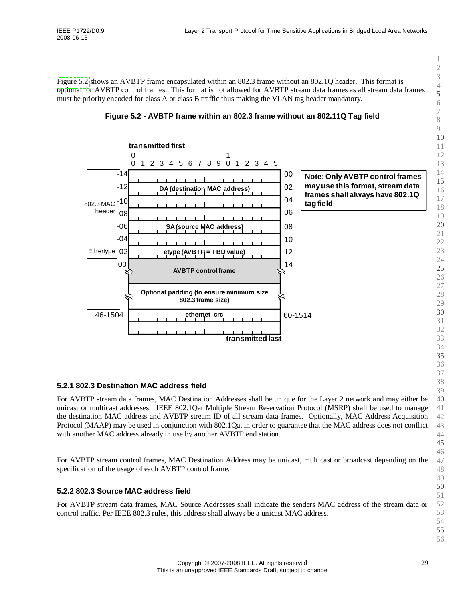<span id="page-28-1"></span><span id="page-28-0"></span>[Figure](#page-28-2) 5.2 shows an AVBTP frame encapsulated within an 802.3 frame without an 802.1Q header. This format is optional for AVBTP control frames. This format is not allowed for AVBTP stream data frames as all stream data frames must be priority encoded for class A or class B traffic thus making the VLAN tag header mandatory.



#### <span id="page-28-2"></span>**Figure 5.2 - AVBTP frame within an 802.3 frame without an 802.11Q Tag field**

#### **5.2.1 802.3 Destination MAC address field**

For AVBTP stream data frames, MAC Destination Addresses shall be unique for the Layer 2 network and may either be unicast or multicast addresses. IEEE 802.1Qat Multiple Stream Reservation Protocol (MSRP) shall be used to manage the destination MAC address and AVBTP stream ID of all stream data frames. Optionally, MAC Address Acquisition Protocol (MAAP) may be used in conjunction with 802.1Qat in order to guarantee that the MAC address does not conflict with another MAC address already in use by another AVBTP end station.

For AVBTP stream control frames, MAC Destination Address may be unicast, multicast or broadcast depending on the specification of the usage of each AVBTP control frame.

#### **5.2.2 802.3 Source MAC address field**

For AVBTP stream data frames, MAC Source Addresses shall indicate the senders MAC address of the stream data or control traffic. Per IEEE 802.3 rules, this address shall always be a unicast MAC address.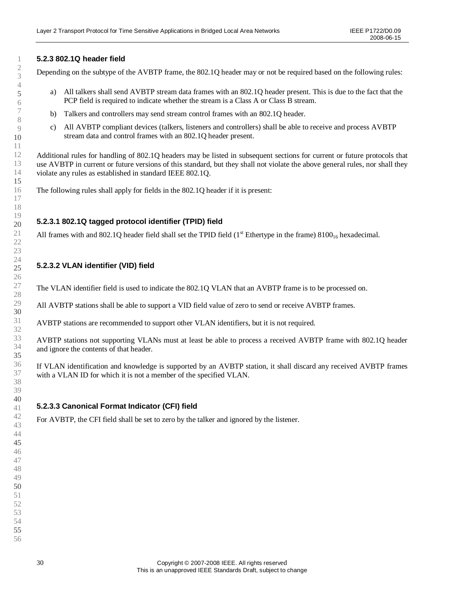#### **5.2.3 802.1Q header field**

<span id="page-29-0"></span>Depending on the subtype of the AVBTP frame, the 802.1Q header may or not be required based on the following rules:

- a) All talkers shall send AVBTP stream data frames with an 802.1Q header present. This is due to the fact that the PCP field is required to indicate whether the stream is a Class A or Class B stream.
- b) Talkers and controllers may send stream control frames with an 802.1Q header.
- c) All AVBTP compliant devices (talkers, listeners and controllers) shall be able to receive and process AVBTP stream data and control frames with an 802.1Q header present.

Additional rules for handling of 802.1Q headers may be listed in subsequent sections for current or future protocols that use AVBTP in current or future versions of this standard, but they shall not violate the above general rules, nor shall they violate any rules as established in standard IEEE 802.1Q.

The following rules shall apply for fields in the 802.1Q header if it is present:

#### **5.2.3.1 802.1Q tagged protocol identifier (TPID) field**

All frames with and 802.1Q header field shall set the TPID field  $(1<sup>st</sup>$  Ethertype in the frame) 8100<sub>16</sub> hexadecimal.

#### **5.2.3.2 VLAN identifier (VID) field**

The VLAN identifier field is used to indicate the 802.1Q VLAN that an AVBTP frame is to be processed on.

All AVBTP stations shall be able to support a VID field value of zero to send or receive AVBTP frames.

AVBTP stations are recommended to support other VLAN identifiers, but it is not required.

AVBTP stations not supporting VLANs must at least be able to process a received AVBTP frame with 802.1Q header and ignore the contents of that header.

If VLAN identification and knowledge is supported by an AVBTP station, it shall discard any received AVBTP frames with a VLAN ID for which it is not a member of the specified VLAN.

#### **5.2.3.3 Canonical Format Indicator (CFI) field**

For AVBTP, the CFI field shall be set to zero by the talker and ignored by the listener.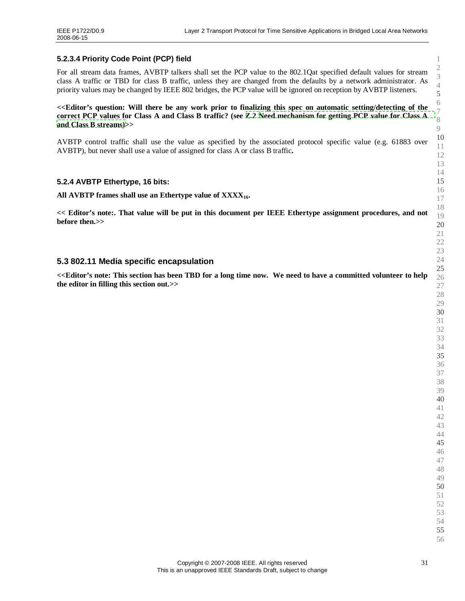#### **5.2.3.4 Priority Code Point (PCP) field**

<span id="page-30-1"></span><span id="page-30-0"></span>For all stream data frames, AVBTP talkers shall set the PCP value to the 802.1Qat specified default values for stream class A traffic or TBD for class B traffic, unless they are changed from the defaults by a network administrator. As priority values may be changed by IEEE 802 bridges, the PCP value will be ignored on reception by AVBTP listeners.

**<<Editor's question: Will there be any work prior to finalizing this spec on automatic setting/detecting of the correct PCP values for Class A and Class B traffic? (see [Z.2](#page-78-1) [Need mechanism for getting PCP value for](#page-78-1) Class A and [Class B](#page-78-1) streams)>>**

AVBTP control traffic shall use the value as specified by the associated protocol specific value (e.g. 61883 over AVBTP), but never shall use a value of assigned for class A or class B traffic**.**

#### **5.2.4 AVBTP Ethertype, 16 bits:**

**All AVBTP frames shall use an Ethertype value of XXXX16.**

**<< Editor's note:. That value will be put in this document per IEEE Ethertype assignment procedures, and not before then.>>**

#### **5.3 802.11 Media specific encapsulation**

**<<Editor's note: This section has been TBD for a long time now. We need to have a committed volunteer to help the editor in filling this section out.>>**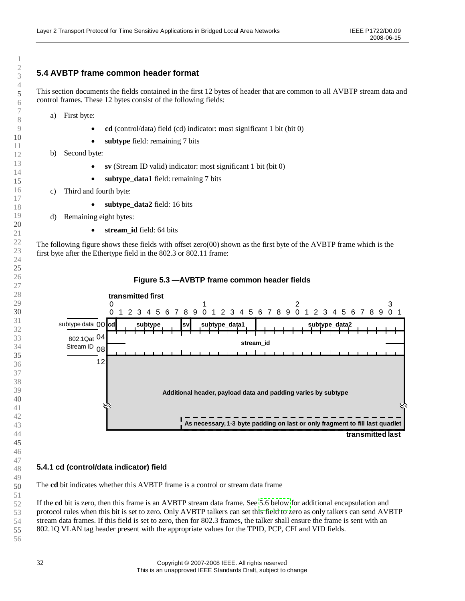## <span id="page-31-2"></span><span id="page-31-1"></span><span id="page-31-0"></span>**5.4 AVBTP frame common header format**

This section documents the fields contained in the first 12 bytes of header that are common to all AVBTP stream data and control frames. These 12 bytes consist of the following fields:

- a) First byte:
	- **cd** (control/data) field (cd) indicator: most significant 1 bit (bit 0)
	- **subtype** field: remaining 7 bits
- b) Second byte:
	- **sv** (Stream ID valid) indicator: most significant 1 bit (bit 0)
	- **subtype\_data1** field: remaining 7 bits
- c) Third and fourth byte:
	- **subtype\_data2** field: 16 bits
- d) Remaining eight bytes:
	- **stream\_id** field: 64 bits

The following figure shows these fields with offset zero(00) shown as the first byte of the AVBTP frame which is the first byte after the Ethertype field in the 802.3 or 802.11 frame:



#### **Figure 5.3 — AVBTP frame common header fields**

#### **5.4.1 cd (control/data indicator) field**

The **cd** bit indicates whether this AVBTP frame is a control or stream data frame

If the **cd** bit is zero, then this frame is an AVBTP stream data frame. See [5.6 below](#page-37-0) for additional encapsulation and protocol rules when this bit is set to zero. Only AVBTP talkers can set this field to zero as only talkers can send AVBTP stream data frames. If this field is set to zero, then for 802.3 frames, the talker shall ensure the frame is sent with an 802.1Q VLAN tag header present with the appropriate values for the TPID, PCP, CFI and VID fields.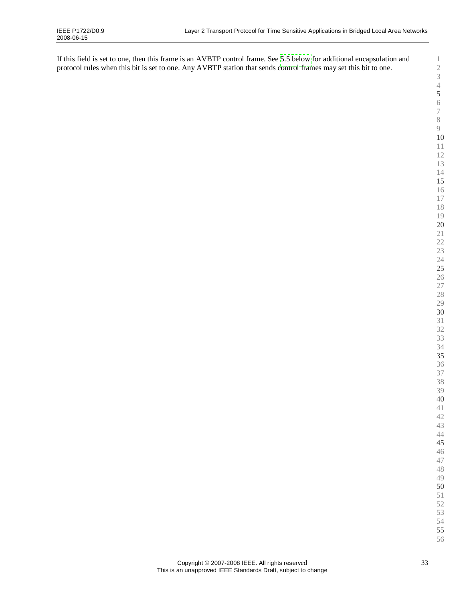If this field is set to one, then this frame is an AVBTP control frame. See [5.5 below](#page-35-0) for additional encapsulation and protocol rules when this bit is set to one. Any AVBTP station that sends control frames may set this bit to one.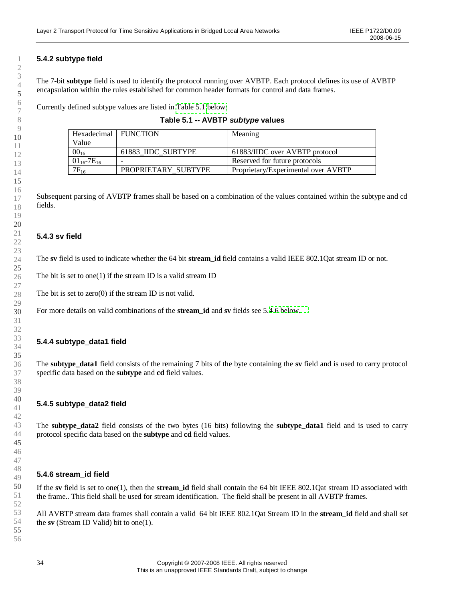## <span id="page-33-0"></span>**5.4.2 subtype field**

The 7-bit **subtype** field is used to identify the protocol running over AVBTP. Each protocol defines its use of AVBTP encapsulation within the rules established for common header formats for control and data frames.

Currently defined subtype values are listed in [Table](#page-33-2) 5.1 [below:](#page-33-2)

| Hexadecimal   FUNCTION |                     | Meaning                             |
|------------------------|---------------------|-------------------------------------|
| Value                  |                     |                                     |
| $00_{16}$              | 61883 IIDC SUBTYPE  | 61883/IIDC over AVBTP protocol      |
| $01_{16}$ -7 $E_{16}$  | -                   | Reserved for future protocols       |
| $7F_{16}$              | PROPRIETARY SUBTYPE | Proprietary/Experimental over AVBTP |

<span id="page-33-2"></span><span id="page-33-1"></span>

Subsequent parsing of AVBTP frames shall be based on a combination of the values contained within the subtype and cd fields.

#### **5.4.3 sv field**

The **sv** field is used to indicate whether the 64 bit **stream\_id** field contains a valid IEEE 802.1Qat stream ID or not.

The bit is set to one(1) if the stream ID is a valid stream ID

The bit is set to zero(0) if the stream ID is not valid.

For more details on valid combinations of the **stream\_id** and **sv** fields see 5.[4.6 below.](#page-33-3)

#### **5.4.4 subtype\_data1 field**

The **subtype\_data1** field consists of the remaining 7 bits of the byte containing the **sv** field and is used to carry protocol specific data based on the **subtype** and **cd** field values.

#### **5.4.5 subtype\_data2 field**

The **subtype\_data2** field consists of the two bytes (16 bits) following the **subtype\_data1** field and is used to carry protocol specific data based on the **subtype** and **cd** field values.

#### <span id="page-33-3"></span>**5.4.6 stream\_id field**

If the **sv** field is set to one(1), then the **stream\_id** field shall contain the 64 bit IEEE 802.1Qat stream ID associated with the frame.. This field shall be used for stream identification. The field shall be present in all AVBTP frames.

All AVBTP stream data frames shall contain a valid 64 bit IEEE 802.1Qat Stream ID in the **stream\_id** field and shall set the **sv** (Stream ID Valid) bit to one(1).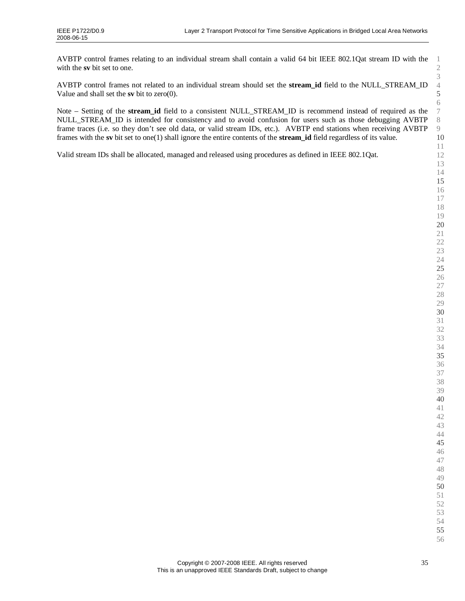AVBTP control frames relating to an individual stream shall contain a valid 64 bit IEEE 802.1Qat stream ID with the with the **sv** bit set to one.

AVBTP control frames not related to an individual stream should set the **stream\_id** field to the NULL\_STREAM\_ID Value and shall set the **sv** bit to zero(0).

Note –Setting of the **stream\_id** field to a consistent NULL\_STREAM\_ID is recommend instead of required as the NULL\_STREAM\_ID is intended for consistency and to avoid confusion for users such as those debugging AVBTP frame traces (i.e. so they don't see old data, or valid stream IDs, etc.). AVBTP end stations when receiving AVBTP frames with the **sv** bit set to one(1) shall ignore the entire contents of the **stream\_id** field regardless of its value.

Valid stream IDs shall be allocated, managed and released using procedures as defined in IEEE 802.1Qat.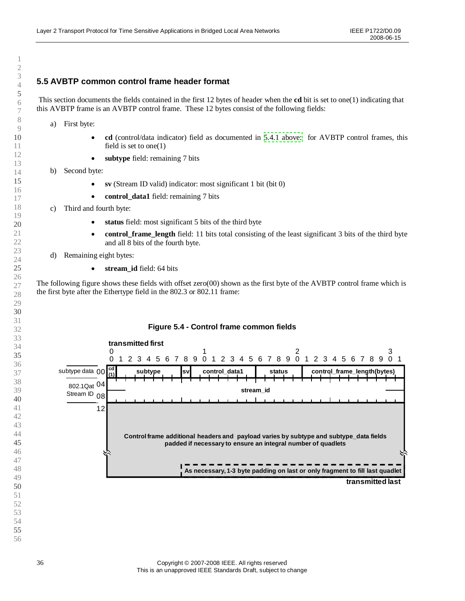## <span id="page-35-0"></span>**5.5 AVBTP common control frame header format**

This section documents the fields contained in the first 12 bytes of header when the **cd** bit is set to one(1) indicating that this AVBTP frame is an AVBTP control frame. These 12 bytes consist of the following fields:

a) First byte:

- <span id="page-35-1"></span> **cd** (control/data indicator) field as documented in [5.4.1 above:](#page-31-1) for AVBTP control frames, this field is set to one(1)
- **subtype** field: remaining 7 bits
- b) Second byte:
	- **sv** (Stream ID valid) indicator: most significant 1 bit (bit 0)
	- **control\_data1** field: remaining 7 bits
- c) Third and fourth byte:
	- **status** field: most significant 5 bits of the third byte
	- **control\_frame\_length** field: 11 bits total consisting of the least significant 3 bits of the third byte and all 8 bits of the fourth byte.
- d) Remaining eight bytes:
	- **stream\_id** field: 64 bits

The following figure shows these fields with offset zero(00) shown as the first byte of the AVBTP control frame which is the first byte after the Ethertype field in the 802.3 or 802.11 frame:

#### **Figure 5.4 - Control frame common fields transmitted first**  $\Omega$  1 2 3 4 5 6 7 8 9 0 1 2 3 4 5 6 7 8 9 0 2 3 4 5 6 7 8 9 0 **subtype cd** 00 subtype data **control\_data1 status control\_frame\_length(bytes) sv (1)** 802.1Qat <sup>04</sup> **stream\_id** Stream ID<sub>08</sub>  $\mathbf{I}$  **Control frame additional headers and payload varies by subtype and subtype\_data fields padded if necessary to ensure an integral number of quadlets As necessary, 1-3 byte padding on last or only fragment to fill last quadlet transmitted last**

- 
-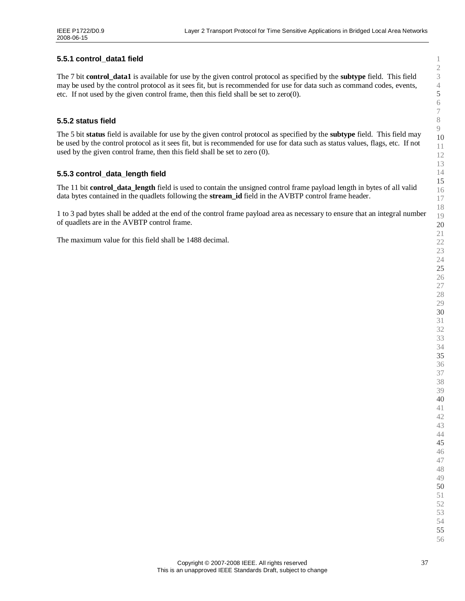## **5.5.1 control\_data1 field**

The 7 bit **control\_data1** is available for use by the given control protocol as specified by the **subtype** field. This field may be used by the control protocol as it sees fit, but is recommended for use for data such as command codes, events, etc. If not used by the given control frame, then this field shall be set to zero(0).

# **5.5.2 status field**

The 5 bit **status** field is available for use by the given control protocol as specified by the **subtype** field. This field may be used by the control protocol as it sees fit, but is recommended for use for data such as status values, flags, etc. If not used by the given control frame, then this field shall be set to zero (0).

# **5.5.3 control\_data\_length field**

The 11 bit **control\_data\_length** field is used to contain the unsigned control frame payload length in bytes of all valid data bytes contained in the quadlets following the **stream\_id** field in the AVBTP control frame header.

1 to 3 pad bytes shall be added at the end of the control frame payload area as necessary to ensure that an integral number of quadlets are in the AVBTP control frame.

The maximum value for this field shall be 1488 decimal.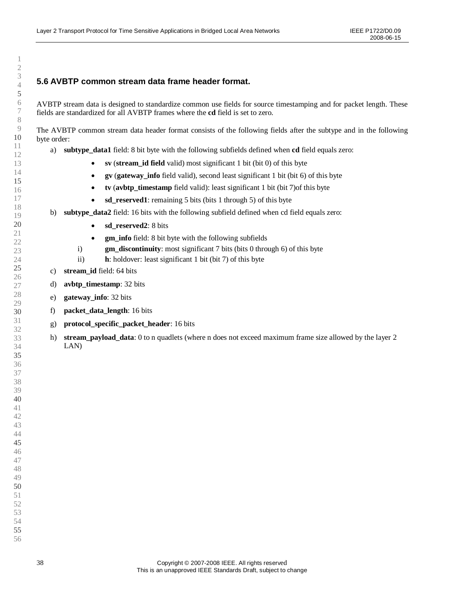# **5.6 AVBTP common stream data frame header format.**

AVBTP stream data is designed to standardize common use fields for source timestamping and for packet length. These fields are standardized for all AVBTP frames where the **cd** field is set to zero.

The AVBTP common stream data header format consists of the following fields after the subtype and in the following byte order:

- a) **subtype\_data1** field: 8 bit byte with the following subfields defined when **cd** field equals zero:
	- **sv** (**stream\_id field** valid) most significant 1 bit (bit 0) of this byte
	- **gv** (**gateway\_info** field valid), second least significant 1 bit (bit 6) of this byte
	- **tv** (**avbtp\_timestamp** field valid): least significant 1 bit (bit 7)of this byte
	- **sd\_reserved1**: remaining 5 bits (bits 1 through 5) of this byte
- b) **subtype\_data2** field: 16 bits with the following subfield defined when cd field equals zero:
	- sd reserved2: 8 bits
	- **gm\_info** field: 8 bit byte with the following subfields
	- i) **gm\_discontinuity**: most significant 7 bits (bits 0 through 6) of this byte
	- ii) **h**: holdover: least significant 1 bit (bit 7) of this byte
- c) **stream\_id** field: 64 bits
- d) **avbtp\_timestamp**: 32 bits
- e) **gateway\_info**: 32 bits
- f) **packet\_data\_length**: 16 bits
- g) **protocol\_specific\_packet\_header**: 16 bits
- h) **stream\_payload\_data**: 0 to n quadlets (where n does not exceed maximum frame size allowed by the layer 2 LAN)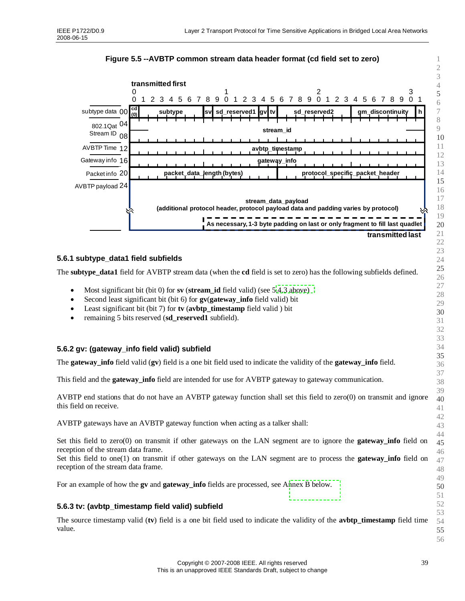



# **5.6.1 subtype\_data1 field subfields**

The **subtype\_data1** field for AVBTP stream data (when the **cd** field is set to zero) has the following subfields defined.

- Most significant bit (bit 0) for **sv** (**stream\_id** field valid) (see 5[.4.3 above\)](#page-33-0)
- Second least significant bit (bit 6) for **gv**(**gateway\_info** field valid) bit
- Least significant bit (bit 7) for **tv** (**avbtp\_timestamp** field valid ) bit
- remaining 5 bits reserved (**sd\_reserved1** subfield).

# **5.6.2 gv: (gateway\_info field valid) subfield**

The **gateway\_info** field valid (**gv**) field is a one bit field used to indicate the validity of the **gateway\_info** field.

This field and the **gateway\_info** field are intended for use for AVBTP gateway to gateway communication.

AVBTP end stations that do not have an AVBTP gateway function shall set this field to zero(0) on transmit and ignore this field on receive.

AVBTP gateways have an AVBTP gateway function when acting as a talker shall:

Set this field to zero(0) on transmit if other gateways on the LAN segment are to ignore the **gateway info** field on reception of the stream data frame.

Set this field to one(1) on transmit if other gateways on the LAN segment are to process the **gateway\_info** field on reception of the stream data frame.

For an example of how the **gv** and **gateway\_info** fields are processed, see A[nnex B below.](#page-64-0)

# **5.6.3 tv: (avbtp\_timestamp field valid) subfield**

The source timestamp valid (**tv**) field is a one bit field used to indicate the validity of the **avbtp\_timestamp** field time value.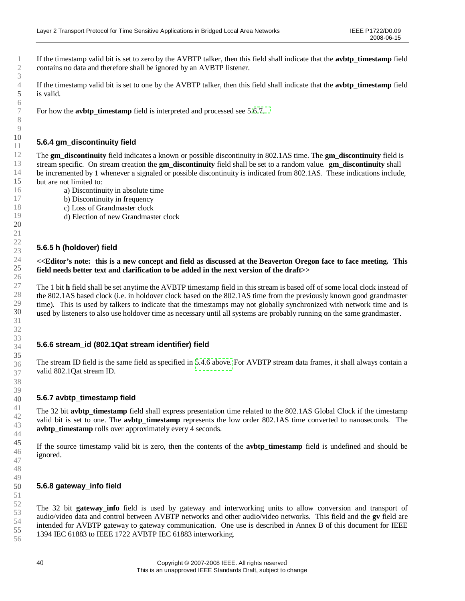<span id="page-39-1"></span>If the timestamp valid bit is set to zero by the AVBTP talker, then this field shall indicate that the **avbtp\_timestamp** field contains no data and therefore shall be ignored by an AVBTP listener.

If the timestamp valid bit is set to one by the AVBTP talker, then this field shall indicate that the **avbtp\_timestamp** field is valid.

For how the **avbtp\_timestamp** field is interpreted and processed see 5[.6.7.](#page-39-0)

# **5.6.4 gm\_discontinuity field**

The **gm\_discontinuity** field indicates a known or possible discontinuity in 802.1AS time. The **gm\_discontinuity** field is stream specific. On stream creation the **gm\_discontinuity** field shall be set to a random value. **gm\_discontinuity** shall be incremented by 1 whenever a signaled or possible discontinuity is indicated from 802.1AS. These indications include, but are not limited to:

- a) Discontinuity in absolute time
- b) Discontinuity in frequency
- c) Loss of Grandmaster clock
- d) Election of new Grandmaster clock

### **5.6.5 h (holdover) field**

#### **<<Editor's note: this is a new concept and field as discussed at the Beaverton Oregon face to face meeting. This field needs better text and clarification to be added in the next version of the draft>>**

The 1 bit **h** field shall be set anytime the AVBTP timestamp field in this stream is based off of some local clock instead of the 802.1AS based clock (i.e. in holdover clock based on the 802.1AS time from the previously known good grandmaster time). This is used by talkers to indicate that the timestamps may not globally synchronized with network time and is used by listeners to also use holdover time as necessary until all systems are probably running on the same grandmaster.

### **5.6.6 stream\_id (802.1Qat stream identifier) field**

The stream ID field is the same field as specified in [5.4.6 above.](#page-33-0) For AVBTP stream data frames, it shall always contain a valid 802.1Qat stream ID.

### <span id="page-39-0"></span>**5.6.7 avbtp\_timestamp field**

The 32 bit **avbtp** timestamp field shall express presentation time related to the 802.1AS Global Clock if the timestamp valid bit is set to one. The **avbtp timestamp** represents the low order 802.1AS time converted to nanoseconds. The **avbtp** timestamp rolls over approximately every 4 seconds.

If the source timestamp valid bit is zero, then the contents of the **avbtp\_timestamp** field is undefined and should be ignored.

### **5.6.8 gateway\_info field**

The 32 bit **gateway\_info** field is used by gateway and interworking units to allow conversion and transport of audio/video data and control between AVBTP networks and other audio/video networks. This field and the **gv** field are intended for AVBTP gateway to gateway communication. One use is described in Annex B of this document for IEEE 1394 IEC 61883 to IEEE 1722 AVBTP IEC 61883 interworking.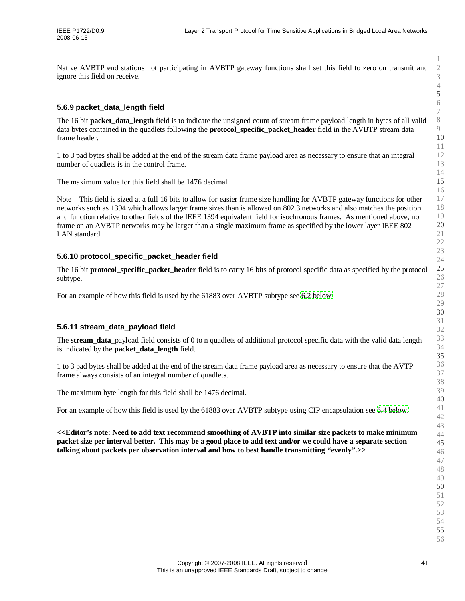Native AVBTP end stations not participating in AVBTP gateway functions shall set this field to zero on transmit and ignore this field on receive.

# **5.6.9 packet\_data\_length field**

The 16 bit **packet\_data\_length** field is to indicate the unsigned count of stream frame payload length in bytes of all valid data bytes contained in the quadlets following the **protocol\_specific\_packet\_header** field in the AVBTP stream data frame header.

1 to 3 pad bytes shall be added at the end of the stream data frame payload area as necessary to ensure that an integral number of quadlets is in the control frame.

The maximum value for this field shall be 1476 decimal.

Note –This field is sized at a full 16 bits to allow for easier frame size handling for AVBTP gateway functions for other networks such as 1394 which allows larger frame sizes than is allowed on 802.3 networks and also matches the position and function relative to other fields of the IEEE 1394 equivalent field for isochronous frames. As mentioned above, no frame on an AVBTP networks may be larger than a single maximum frame as specified by the lower layer IEEE 802 LAN standard.

# **5.6.10 protocol\_specific\_packet\_header field**

The 16 bit **protocol\_specific\_packet\_header** field is to carry 16 bits of protocol specific data as specified by the protocol subtype.

For an example of how this field is used by the 61883 over AVBTP subtype see [6.2 below](#page-45-0)

### **5.6.11 stream\_data\_payload field**

The **stream\_data\_**payload field consists of 0 to n quadlets of additional protocol specific data with the valid data length is indicated by the **packet\_data\_length** field.

1 to 3 pad bytes shall be added at the end of the stream data frame payload area as necessary to ensure that the AVTP frame always consists of an integral number of quadlets.

The maximum byte length for this field shall be 1476 decimal.

For an example of how this field is used by the 61883 over AVBTP subtype using CIP encapsulation see [6.4 below.](#page-48-0)

**<<Editor's note: Need to add text recommend smoothing of AVBTP into similar size packets to make minimum packet size per interval better. This may be a good place to add text and/or we could have a separate section talking about packets per observation interval and how to best handle transmitting "evenly".>>**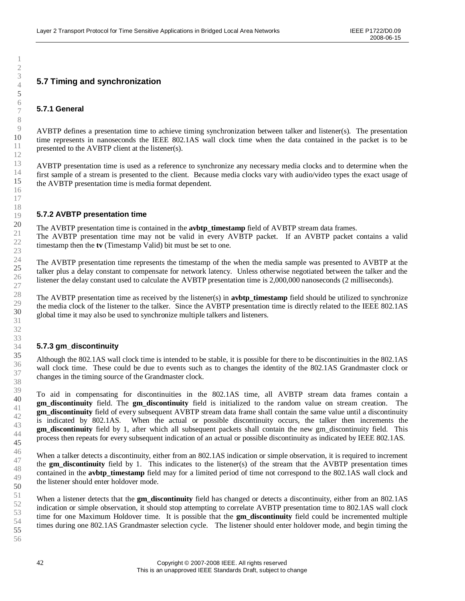# **5.7 Timing and synchronization**

### **5.7.1 General**

AVBTP defines a presentation time to achieve timing synchronization between talker and listener(s). The presentation time represents in nanoseconds the IEEE 802.1AS wall clock time when the data contained in the packet is to be presented to the AVBTP client at the listener(s).

AVBTP presentation time is used as a reference to synchronize any necessary media clocks and to determine when the first sample of a stream is presented to the client. Because media clocks vary with audio/video types the exact usage of the AVBTP presentation time is media format dependent.

#### **5.7.2 AVBTP presentation time**

The AVBTP presentation time is contained in the **avbtp timestamp** field of AVBTP stream data frames. The AVBTP presentation time may not be valid in every AVBTP packet. If an AVBTP packet contains a valid timestamp then the **tv** (Timestamp Valid) bit must be set to one.

The AVBTP presentation time represents the timestamp of the when the media sample was presented to AVBTP at the talker plus a delay constant to compensate for network latency. Unless otherwise negotiated between the talker and the listener the delay constant used to calculate the AVBTP presentation time is 2,000,000 nanoseconds (2 milliseconds).

The AVBTP presentation time as received by the listener(s) in **avbtp\_timestamp** field should be utilized to synchronize the media clock of the listener to the talker. Since the AVBTP presentation time is directly related to the IEEE 802.1AS global time it may also be used to synchronize multiple talkers and listeners.

### **5.7.3 gm\_discontinuity**

Although the 802.1AS wall clock time is intended to be stable, it is possible for there to be discontinuities in the 802.1AS wall clock time. These could be due to events such as to changes the identity of the 802.1AS Grandmaster clock or changes in the timing source of the Grandmaster clock.

To aid in compensating for discontinuities in the 802.1AS time, all AVBTP stream data frames contain a **gm\_discontinuity** field. The **gm\_discontinuity** field is initialized to the random value on stream creation. The **gm** discontinuity field of every subsequent AVBTP stream data frame shall contain the same value until a discontinuity is indicated by 802.1AS. When the actual or possible discontinuity occurs, the talker then increments the **gm\_discontinuity** field by 1, after which all subsequent packets shall contain the new gm\_discontinuity field. This process then repeats for every subsequent indication of an actual or possible discontinuity as indicated by IEEE 802.1AS.

When a talker detects a discontinuity, either from an 802.1AS indication or simple observation, it is required to increment the **gm\_discontinuity** field by 1. This indicates to the listener(s) of the stream that the AVBTP presentation times contained in the **avbtp timestamp** field may for a limited period of time not correspond to the 802.1AS wall clock and the listener should enter holdover mode.

When a listener detects that the **gm** discontinuity field has changed or detects a discontinuity, either from an 802.1AS indication or simple observation, it should stop attempting to correlate AVBTP presentation time to 802.1AS wall clock time for one Maximum Holdover time. It is possible that the **gm\_discontinuity** field could be incremented multiple times during one 802.1AS Grandmaster selection cycle. The listener should enter holdover mode, and begin timing the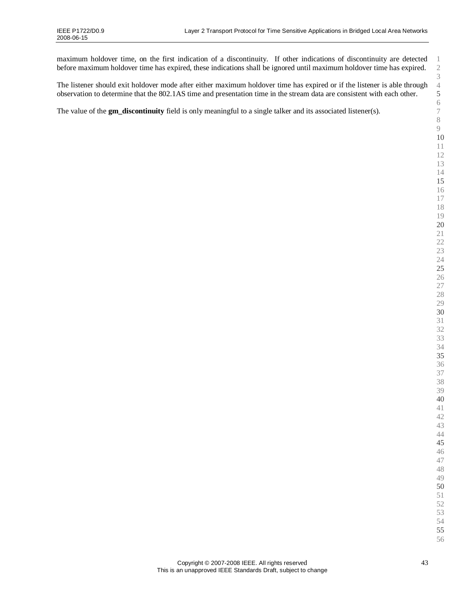$\overline{3}$   $2^{2}$   $25^{\circ}$   $3<sup>3</sup>$  maximum holdover time, on the first indication of a discontinuity. If other indications of discontinuity are detected before maximum holdover time has expired, these indications shall be ignored until maximum holdover time has expired.

| The listener should exit holdover mode after either maximum holdover time has expired or if the listener is able through | $\overline{4}$  |
|--------------------------------------------------------------------------------------------------------------------------|-----------------|
| observation to determine that the 802.1AS time and presentation time in the stream data are consistent with each other.  | 5               |
| The value of the gm_discontinuity field is only meaningful to a single talker and its associated listener(s).            | $\epsilon$<br>7 |
|                                                                                                                          |                 |
|                                                                                                                          |                 |
|                                                                                                                          |                 |
|                                                                                                                          |                 |
|                                                                                                                          |                 |
|                                                                                                                          |                 |
|                                                                                                                          |                 |
|                                                                                                                          |                 |
|                                                                                                                          |                 |
|                                                                                                                          |                 |
|                                                                                                                          |                 |
|                                                                                                                          | 2               |
|                                                                                                                          | 2               |
|                                                                                                                          |                 |
|                                                                                                                          |                 |
|                                                                                                                          |                 |
|                                                                                                                          |                 |
|                                                                                                                          | 2               |
|                                                                                                                          |                 |
|                                                                                                                          |                 |
|                                                                                                                          |                 |
|                                                                                                                          |                 |
|                                                                                                                          | Э               |
|                                                                                                                          | Э               |
|                                                                                                                          | Э               |
|                                                                                                                          |                 |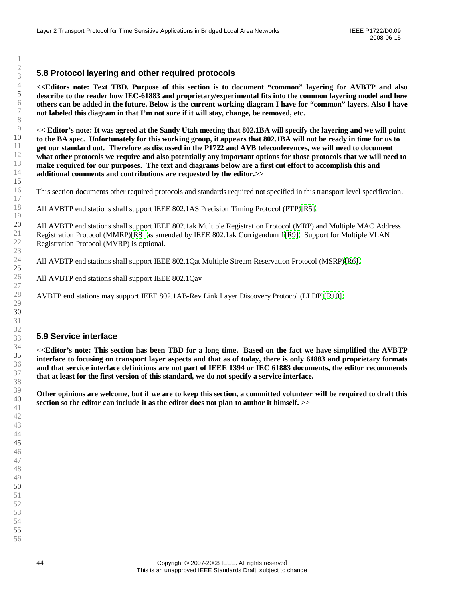# **5.8 Protocol layering and other required protocols**

**<<Editors note: Text TBD. Purpose of this section is to document "common" layering for AVBTP and also describe to the reader how IEC-61883 and proprietary/experimental fits into the common layering model and how others can be added in the future. Below is the current working diagram I have for "common"layers. Also I have not labeled this diagram in that I'm not sure if it will stay, change, be removed, etc.**

**<< Editor's note: It was agreed at the Sandy Utah meeting that 802.1BA will specify the layering and we will point to the BA spec. Unfortunately for this working group, it appears that 802.1BA will not be ready in time for us to get our standard out. Therefore as discussed in the P1722 and AVB teleconferences, we will need to document what other protocols we require and also potentially any important options for those protocols that we will need to make required for our purposes. The text and diagrams below are a first cut effort to accomplish this and additional comments and contributions are requested by the editor.>>**

This section documents other required protocols and standards required not specified in this transport level specification.

All AVBTP end stations shall support IEEE 802.1AS Precision Timing Protocol(PTP[\)\[R5\].](#page-14-0)

All AVBTP end stations shall support IEEE 802.1ak Multiple Registration Protocol (MRP) and Multiple MAC Address Registration Protocol (MMRP)[\[R8\]](#page-14-0) as amended by IEEE 802.1ak Corrigendum1[\[R9\].](#page-14-0) Support for Multiple VLAN Registration Protocol (MVRP) is optional.

All AVBTP end stations shall support IEEE 802.1Qat Multiple Stream Reservation Protocol (MSRP)[\[R6\].](#page-14-0)

All AVBTP end stations shall support IEEE 802.1Qav

AVBTP end stations may support IEEE 802.1AB-Rev Link Layer Discovery Protocol (LLDP[\)\[R10\]](#page-14-0)

### **5.9 Service interface**

**<<Editor's note: This section has been TBD for a long time. Based on the fact we have simplified the AVBTP interface to focusing on transport layer aspects and that as of today, there is only 61883 and proprietary formats and that service interface definitions are not part of IEEE 1394 or IEC 61883 documents, the editor recommends that at least for the first version of this standard, we do not specify a service interface.**

**Other opinions are welcome, but if we are to keep this section, a committed volunteer will be required to draft this section so the editor can include it as the editor does not plan to author it himself. >>**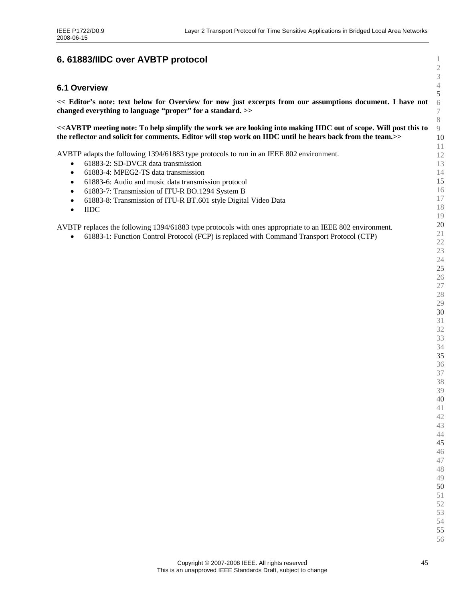# <span id="page-44-0"></span>**6. 61883/IIDC over AVBTP protocol**

### **6.1 Overview**

**<< Editor's note: text below for Overview for now just excerpts from our assumptions document. I have not changed everything to language "proper"for a standard. >>**

**<<AVBTP meeting note: To help simplify the work we are looking into making IIDC out of scope. Will post this to the reflector and solicit for comments. Editor will stop work on IIDC until he hears back from the team.>>**

AVBTP adapts the following 1394/61883 type protocols to run in an IEEE 802 environment.

- 61883-2: SD-DVCR data transmission
- 61883-4: MPEG2-TS data transmission
- 61883-6: Audio and music data transmission protocol
- 61883-7: Transmission of ITU-R BO.1294 System B
- 61883-8: Transmission of ITU-R BT.601 style Digital Video Data
- IIDC

AVBTP replaces the following 1394/61883 type protocols with ones appropriate to an IEEE 802 environment.

61883-1: Function Control Protocol (FCP) is replaced with Command Transport Protocol (CTP)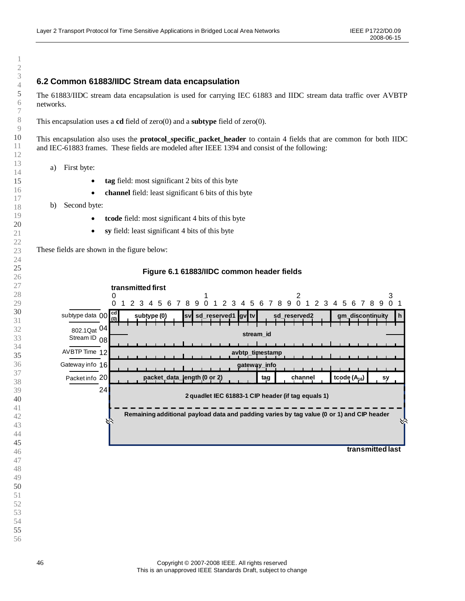# <span id="page-45-0"></span>**6.2 Common 61883/IIDC Stream data encapsulation**

The 61883/IIDC stream data encapsulation is used for carrying IEC 61883 and IIDC stream data traffic over AVBTP networks.

This encapsulation uses a **cd** field of zero(0) and a **subtype** field of zero(0).

This encapsulation also uses the **protocol\_specific\_packet\_header** to contain 4 fields that are common for both IIDC and IEC-61883 frames. These fields are modeled after IEEE 1394 and consist of the following:

- a) First byte:
	- **tag** field: most significant 2 bits of this byte
	- **channel** field: least significant 6 bits of this byte
- b) Second byte:
	- **tcode** field: most significant 4 bits of this byte
	- **sy** field: least significant 4 bits of this byte

These fields are shown in the figure below:



#### **Figure 6.1 61883/IIDC common header fields**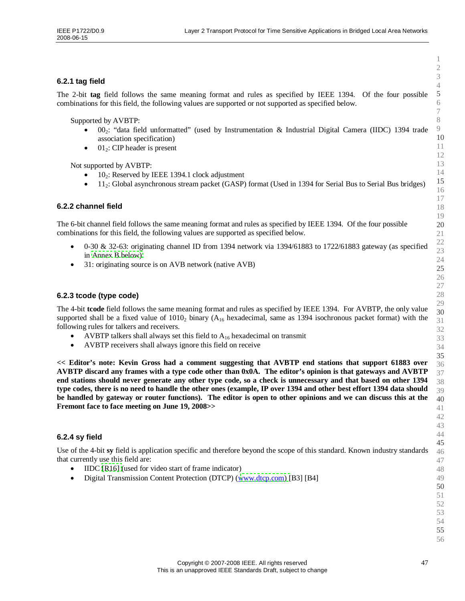# **6.2.1 tag field**

The 2-bit **tag** field follows the same meaning format and rules as specified by IEEE 1394. Of the four possible combinations for this field, the following values are supported or not supported as specified below.

Supported by AVBTP:

- 002: "data field unformatted" (used by Instrumentation & Industrial Digital Camera (IIDC) 1394 trade association specification)
- $\bullet$  01<sup>2</sup>: CIP header is present

Not supported by AVBTP:

- $10<sub>2</sub>$ : Reserved by IEEE 1394.1 clock adjustment
- 112: Global asynchronous stream packet (GASP) format (Used in 1394 for Serial Bus to Serial Bus bridges)

### **6.2.2 channel field**

The 6-bit channel field follows the same meaning format and rules as specified by IEEE 1394. Of the four possible combinations for this field, the following values are supported as specified below.

- 0-30 & 32-63: originating channel ID from 1394 network via 1394/61883 to 1722/61883 gateway (as specified in [Annex B below\).](#page-64-0)
- 31: originating source is on AVB network (native AVB)

### **6.2.3 tcode (type code)**

The 4-bit **tcode** field follows the same meaning format and rules as specified by IEEE 1394. For AVBTP, the only value supported shall be a fixed value of  $1010<sub>2</sub>$  binary (A<sub>16</sub> hexadecimal, same as 1394 isochronous packet format) with the following rules for talkers and receivers.

- AVBTP talkers shall always set this field to  $A_{16}$  hexadecimal on transmit
- AVBTP receivers shall always ignore this field on receive

**<< Editor's note: Kevin Gross had a comment suggesting that AVBTP end stations that support 61883 over AVBTP discard any frames with a type code other than 0x0A. The editor's opinion is that gateways and AVBTP end stations should never generate any other type code, so a check is unnecessary and that based on other 1394 type codes, there is no need to handle the other ones (example, IP over 1394 and other best effort 1394 data should be handled by gateway or router functions). The editor is open to other opinions and we can discuss this at the Fremont face to face meeting on June 19, 2008>>**

### **6.2.4 sy field**

Use of the 4-bit **sy** field is application specific and therefore beyond the scope of this standard. Known industry standards that currently use this field are:

- IIDC [\[R16\]](#page-15-0) (used for video start of frame indicator)
- Digital Transmission Content Protection (DTCP)([www.dtcp.com\)](http://www.dtcp.com/) [B3] [B4]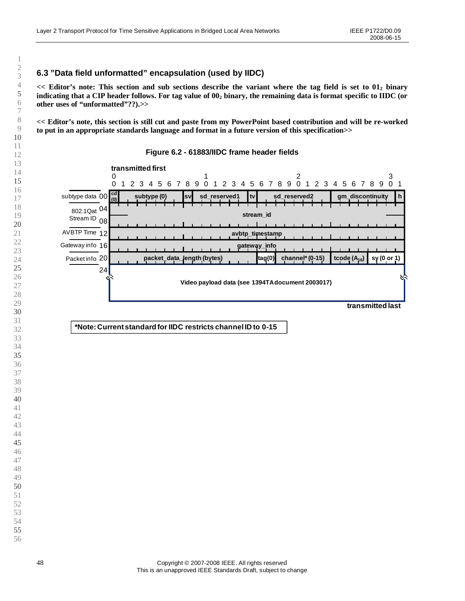# **6.3 "Data field unformatted"encapsulation (used by IIDC)**

**<< Editor's note: This section and sub sections describe the variant where the tag field is set to 01<sup>2</sup> binary indicating that a CIP header follows. For tag value of 00<sup>2</sup> binary, the remaining data is format specific to IIDC (or other uses of "unformatted"??).>>**

**<< Editor's note, this section is still cut and paste from my PowerPoint based contribution and will be re-worked to put in an appropriate standards language and format in a future version of this specification>>**



#### **Figure 6.2 - 61883/IIDC frame header fields**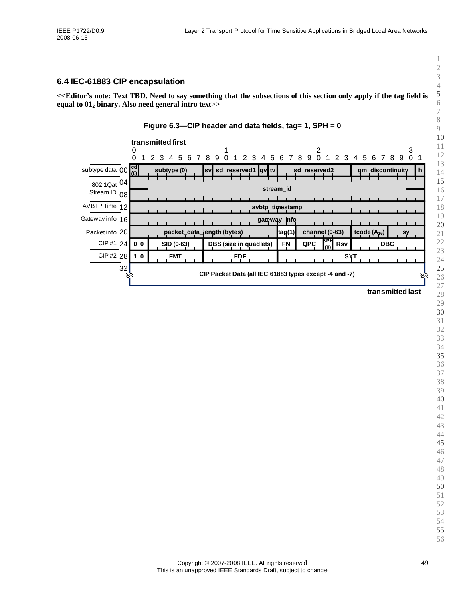# <span id="page-48-0"></span>**6.4 IEC-61883 CIP encapsulation**

**<<Editor's note: Text TBD. Need to say something that the subsections of this section only apply if the tag field is equal to 01<sup>2</sup> binary. Also need general intro text>>**



# **transmitted last**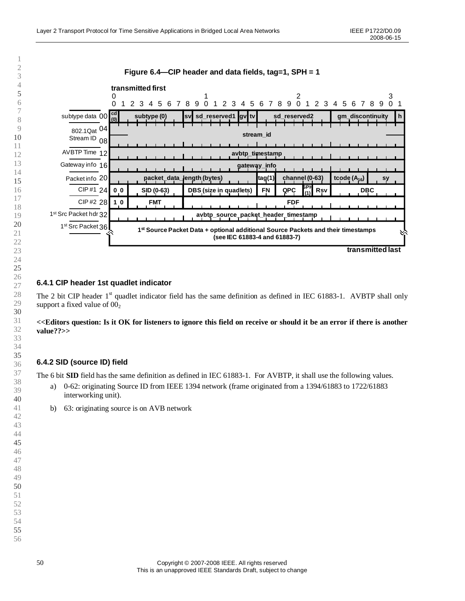

### **6.4.1 CIP header 1st quadlet indicator**

The 2 bit CIP header 1<sup>st</sup> quadlet indicator field has the same definition as defined in IEC 61883-1. AVBTP shall only support a fixed value of  $00<sub>2</sub>$ 

#### **<<Editors question: Is it OK for listeners to ignore this field on receive or should it be an error if there is another value??>>**

# **6.4.2 SID (source ID) field**

The 6 bit **SID** field has the same definition as defined in IEC 61883-1. For AVBTP, it shall use the following values.

- a) 0-62: originating Source ID from IEEE 1394 network (frame originated from a 1394/61883 to 1722/61883 interworking unit).
- b) 63: originating source is on AVB network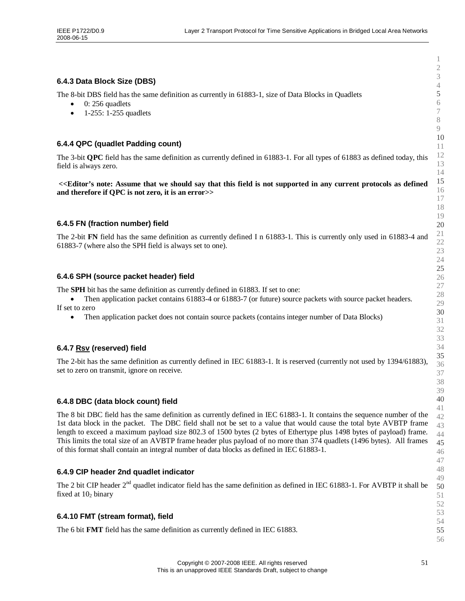### **6.4.3 Data Block Size (DBS)**

The 8-bit DBS field has the same definition as currently in 61883-1, size of Data Blocks in Quadlets

- $\bullet$  0: 256 quadlets
- $1-255$ :  $1-255$  quadlets

### **6.4.4 QPC (quadlet Padding count)**

The 3-bit **QPC** field has the same definition as currently defined in 61883-1. For all types of 61883 as defined today, this field is always zero.

**<<Editor's note: Assume that we should say that this field is not supported in any current protocols as defined and therefore if QPC is not zero, it is an error>>**

### **6.4.5 FN (fraction number) field**

The 2-bit **FN** field has the same definition as currently defined I n 61883-1. This is currently only used in 61883-4 and 61883-7 (where also the SPH field is always set to one).

### **6.4.6 SPH (source packet header) field**

The **SPH** bit has the same definition as currently defined in 61883. If set to one:

• Then application packet contains 61883-4 or 61883-7 (or future) source packets with source packet headers. If set to zero

• Then application packet does not contain source packets (contains integer number of Data Blocks)

### **6.4.7 Rsv (reserved) field**

The 2-bit has the same definition as currently defined in IEC 61883-1. It is reserved (currently not used by 1394/61883), set to zero on transmit, ignore on receive.

### **6.4.8 DBC (data block count) field**

The 8 bit DBC field has the same definition as currently defined in IEC 61883-1. It contains the sequence number of the 1st data block in the packet. The DBC field shall not be set to a value that would cause the total byte AVBTP frame length to exceed a maximum payload size 802.3 of 1500 bytes (2 bytes of Ethertype plus 1498 bytes of payload) frame. This limits the total size of an AVBTP frame header plus payload of no more than 374 quadlets (1496 bytes). All frames of this format shall contain an integral number of data blocks as defined in IEC 61883-1.

### **6.4.9 CIP header 2nd quadlet indicator**

The 2 bit CIP header  $2<sup>nd</sup>$  quadlet indicator field has the same definition as defined in IEC 61883-1. For AVBTP it shall be fixed at  $10<sub>2</sub>$  binary

### **6.4.10 FMT (stream format), field**

The 6 bit **FMT** field has the same definition as currently defined in IEC 61883.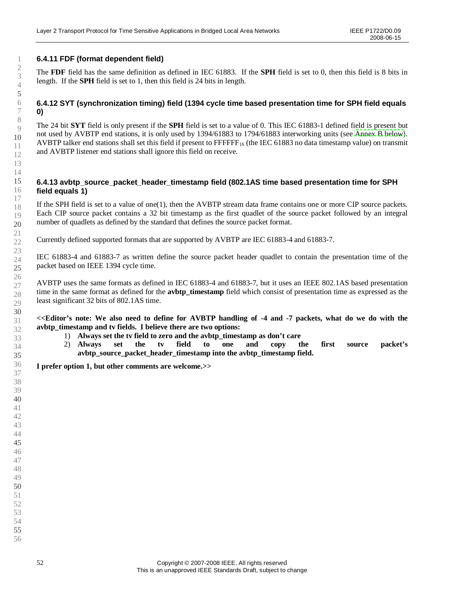# **6.4.11 FDF (format dependent field)**

The **FDF** field has the same definition as defined in IEC 61883. If the **SPH** field is set to 0, then this field is 8 bits in length. If the **SPH** field is set to 1, then this field is 24 bits in length.

## **6.4.12 SYT (synchronization timing) field (1394 cycle time based presentation time for SPH field equals 0)**

The 24 bit **SYT** field is only present if the **SPH** field is set to a value of 0. This IEC 61883-1 defined field is present but not used by AVBTP end stations, it is only used by 1394/61883 to 1794/61883 interworking units (see [Annex B below\)](#page-64-0). AVBTP talker end stations shall set this field if present to  $\text{FFFFF}_{16}$  (the IEC 61883 no data timestamp value) on transmit and AVBTP listener end stations shall ignore this field on receive.

#### **6.4.13 avbtp\_source\_packet\_header\_timestamp field (802.1AS time based presentation time for SPH field equals 1)**

If the SPH field is set to a value of one(1), then the AVBTP stream data frame contains one or more CIP source packets. Each CIP source packet contains a 32 bit timestamp as the first quadlet of the source packet followed by an integral number of quadlets as defined by the standard that defines the source packet format.

Currently defined supported formats that are supported by AVBTP are IEC 61883-4 and 61883-7.

IEC 61883-4 and 61883-7 as written define the source packet header quadlet to contain the presentation time of the packet based on IEEE 1394 cycle time.

AVBTP uses the same formats as defined in IEC 61883-4 and 61883-7, but it uses an IEEE 802.1AS based presentation time in the same format as defined for the **avbtp\_timestamp** field which consist of presentation time as expressed as the least significant 32 bits of 802.1AS time.

**<<Editor's note: We also need to define for AVBTP handling of -4 and -7 packets, what do we do with the avbtp\_timestamp and tv fields. I believe there are two options:**

- 1) **Always set the tv field to zero and the avbtp\_timestamp as don't care**
- 2) **Always set the tv field to one and copy the first source packet's avbtp\_source\_packet\_header\_timestamp into the avbtp\_timestamp field.**

**I prefer option 1, but other comments are welcome.>>**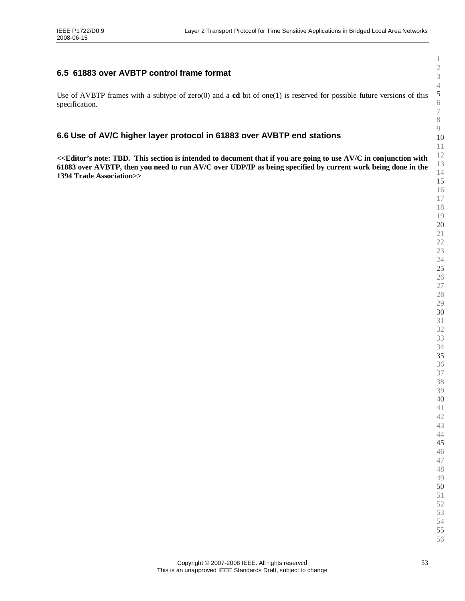# **6.5 61883 over AVBTP control frame format**

Use of AVBTP frames with a subtype of zero(0) and a **cd** bit of one(1) is reserved for possible future versions of this specification.

# **6.6 Use of AV/C higher layer protocol in 61883 over AVBTP end stations**

**<<Editor's note: TBD. This section is intended to document that if you are going to use AV/C in conjunction with 61883 over AVBTP, then you need to run AV/C over UDP/IP as being specified by current work being done in the 1394 Trade Association>>**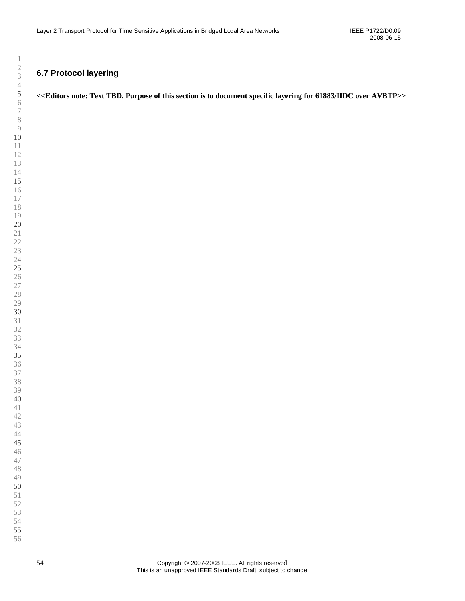# <span id="page-53-0"></span>**6.7 Protocol layering**

# **<<Editors note: Text TBD. Purpose of this section is to document specific layering for 61883/IIDC over AVBTP>>**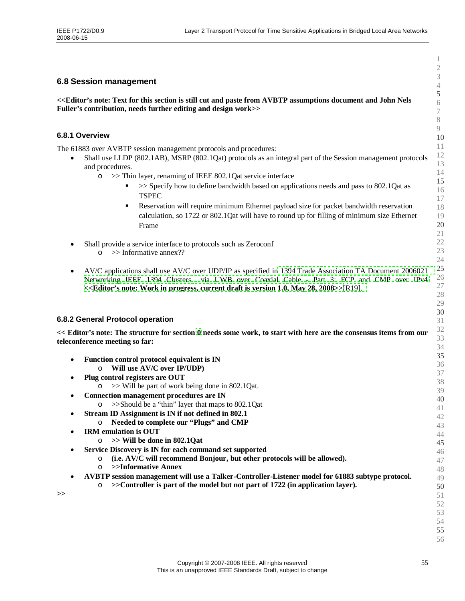### **6.8 Session management**

**<<Editor's note: Text for this section is still cut and paste from AVBTP assumptions document and John Nels Fuller's contribution, needs further editing and design work>>**

#### **6.8.1 Overview**

The 61883 over AVBTP session management protocols and procedures:

- Shall use LLDP (802.1AB), MSRP (802.1Qat) protocols as an integral part of the Session management protocols and procedures.
	- o >> Thin layer, renaming of IEEE 802.1Qat service interface
		- $\sim$  >> Specify how to define bandwidth based on applications needs and pass to 802.1Qat as **TSPEC**
		- Reservation will require minimum Ethernet payload size for packet bandwidth reservation calculation, so 1722 or 802.1Qat will have to round up for filling of minimum size Ethernet Frame
- Shall provide a service interface to protocols such as Zeroconf o >> Informative annex??
- AV/C applications shall use AV/C over UDP/IP as specified in [1394 Trade Association TA Document 2006021](#page-15-0) Networking IEEE 1394 Clusters via UWB over Coaxial Cable - [Part 3: FCP and CMP over IPv4](#page-15-0) **[<<Editor's note: Work in progress, current draft is](#page-15-0) version 1.0, May 28, 2008>>**[[R19\].](#page-15-0)

### **6.8.2 General Protocol operation**

**>>**

**<< Editor's note: The structure for section [0](#page-53-0) needs some work, to start with here are the consensus items from our teleconference meeting so far:**

- **Function control protocol equivalent is IN** o **Will use AV/C over IP/UDP) Plug control registers are OUT**  $\circ$   $\gg$  Will be part of work being done in 802.1Qat. **Connection management procedures are IN** o >>Should be a "thin"layer that maps to 802.1Qat **Stream ID Assignment is IN if not defined in 802.1** o **Needed to complete our "Plugs"and CMP IRM emulation is OUT** o **>> Will be done in 802.1Qat Service Discovery is IN for each command set supported** o **(i.e. AV/C will recommend Bonjour, but other protocols will be allowed).** o **>>Informative Annex AVBTP session management will use a Talker-Controller-Listener model for 61883 subtype protocol.** o **>>Controller is part of the model but not part of 1722 (in application layer).**
- 10 11 12 13 14 15 16 17 18 19 20 21 22 23 24 25 26 27 28 29 30 31 32 33 34 35 36 37 38 39 40 41 42 43  $44$ 45 46 47 48 49 50 51 52 53 54 55 56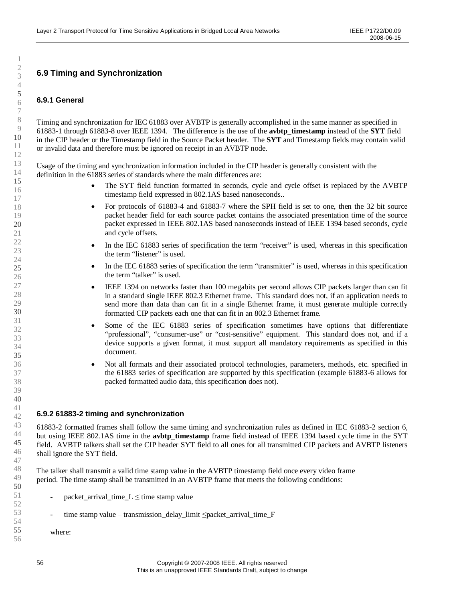# **6.9 Timing and Synchronization**

# **6.9.1 General**

1

Timing and synchronization for IEC 61883 over AVBTP is generally accomplished in the same manner as specified in 61883-1 through 61883-8 over IEEE 1394. The difference is the use of the **avbtp\_timestamp** instead of the **SYT** field in the CIP header or the Timestamp field in the Source Packet header. The **SYT** and Timestamp fields may contain valid or invalid data and therefore must be ignored on receipt in an AVBTP node.

Usage of the timing and synchronization information included in the CIP header is generally consistent with the definition in the 61883 series of standards where the main differences are:

- The SYT field function formatted in seconds, cycle and cycle offset is replaced by the AVBTP timestamp field expressed in 802.1AS based nanoseconds..
- For protocols of 61883-4 and 61883-7 where the SPH field is set to one, then the 32 bit source packet header field for each source packet contains the associated presentation time of the source packet expressed in IEEE 802.1AS based nanoseconds instead of IEEE 1394 based seconds, cycle and cycle offsets.
- In the IEC 61883 series of specification the term "receiver"is used, whereas in this specification the term "listener"is used.
- In the IEC 61883 series of specification the term "transmitter"is used, whereas in this specification the term "talker"is used.
- IEEE 1394 on networks faster than 100 megabits per second allows CIP packets larger than can fit in a standard single IEEE 802.3 Ethernet frame. This standard does not, if an application needs to send more than data than can fit in a single Ethernet frame, it must generate multiple correctly formatted CIP packets each one that can fit in an 802.3 Ethernet frame.
- Some of the IEC 61883 series of specification sometimes have options that differentiate "professional", "consumer-use" or "cost-sensitive" equipment. This standard does not, and if a device supports a given format, it must support all mandatory requirements as specified in this document.
- Not all formats and their associated protocol technologies, parameters, methods, etc. specified in the 61883 series of specification are supported by this specification (example 61883-6 allows for packed formatted audio data, this specification does not).

### **6.9.2 61883-2 timing and synchronization**

61883-2 formatted frames shall follow the same timing and synchronization rules as defined in IEC 61883-2 section 6, but using IEEE 802.1AS time in the **avbtp\_timestamp** frame field instead of IEEE 1394 based cycle time in the SYT field. AVBTP talkers shall set the CIP header SYT field to all ones for all transmitted CIP packets and AVBTP listeners shall ignore the SYT field.

The talker shall transmit a valid time stamp value in the AVBTP timestamp field once every video frame period. The time stamp shall be transmitted in an AVBTP frame that meets the following conditions:

- $packet_arrival_time_L \leq time$  stamp value
- time stamp value transmission delay limit ≤packet arrival time  $F$

where: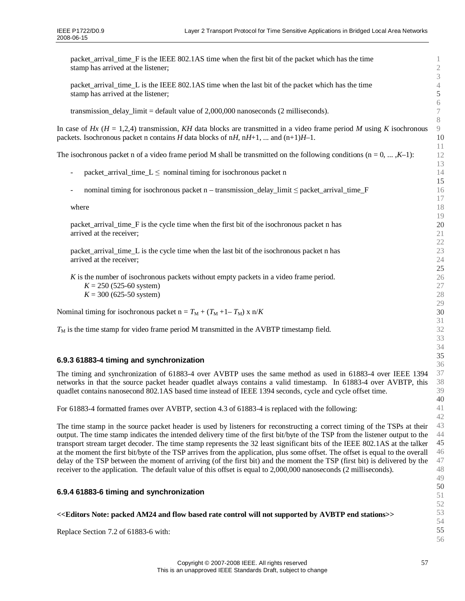| packet_arrival_time_F is the IEEE 802.1AS time when the first bit of the packet which has the time<br>stamp has arrived at the listener;                                                                                                                                                                                                                                                                                                                                                                                                                                                                                                                                                                                                                                   | 1<br>$\mathbf{2}$<br>$\mathfrak{Z}$     |  |  |  |
|----------------------------------------------------------------------------------------------------------------------------------------------------------------------------------------------------------------------------------------------------------------------------------------------------------------------------------------------------------------------------------------------------------------------------------------------------------------------------------------------------------------------------------------------------------------------------------------------------------------------------------------------------------------------------------------------------------------------------------------------------------------------------|-----------------------------------------|--|--|--|
| packet_arrival_time_L is the IEEE 802.1AS time when the last bit of the packet which has the time<br>stamp has arrived at the listener;                                                                                                                                                                                                                                                                                                                                                                                                                                                                                                                                                                                                                                    | $\sqrt{4}$<br>$\mathfrak{S}$            |  |  |  |
| transmission_delay_limit = default value of $2,000,000$ nanoseconds (2 milliseconds).                                                                                                                                                                                                                                                                                                                                                                                                                                                                                                                                                                                                                                                                                      | $\sqrt{6}$<br>$\boldsymbol{7}$<br>$8\,$ |  |  |  |
| $\overline{9}$<br>In case of Hx ( $H = 1,2,4$ ) transmission, KH data blocks are transmitted in a video frame period M using K isochronous<br>10<br>packets. Isochronous packet n contains H data blocks of nH, nH+1,  and $(n+1)H-1$ .                                                                                                                                                                                                                                                                                                                                                                                                                                                                                                                                    |                                         |  |  |  |
| The isochronous packet n of a video frame period M shall be transmitted on the following conditions $(n = 0, , K-1)$ :                                                                                                                                                                                                                                                                                                                                                                                                                                                                                                                                                                                                                                                     | 11<br>12                                |  |  |  |
| packet_arrival_time_ $L \le$ nominal timing for isochronous packet n<br>$\overline{\phantom{0}}$                                                                                                                                                                                                                                                                                                                                                                                                                                                                                                                                                                                                                                                                           | 13<br>14                                |  |  |  |
| nominal timing for isochronous packet $n -$ transmission_delay_limit $\leq$ packet_arrival_time_F                                                                                                                                                                                                                                                                                                                                                                                                                                                                                                                                                                                                                                                                          | 15<br>16                                |  |  |  |
| where                                                                                                                                                                                                                                                                                                                                                                                                                                                                                                                                                                                                                                                                                                                                                                      | 17<br>18                                |  |  |  |
| packet_arrival_time_F is the cycle time when the first bit of the isochronous packet n has<br>arrived at the receiver;                                                                                                                                                                                                                                                                                                                                                                                                                                                                                                                                                                                                                                                     | 19<br>20<br>21                          |  |  |  |
| packet_arrival_time_L is the cycle time when the last bit of the isochronous packet n has<br>arrived at the receiver;                                                                                                                                                                                                                                                                                                                                                                                                                                                                                                                                                                                                                                                      | $22\,$<br>23<br>24                      |  |  |  |
| K is the number of isochronous packets without empty packets in a video frame period.<br>$K = 250$ (525-60 system)<br>$K = 300 (625-50$ system)                                                                                                                                                                                                                                                                                                                                                                                                                                                                                                                                                                                                                            | 25<br>26<br>$27\,$<br>28<br>29          |  |  |  |
| Nominal timing for isochronous packet $n = T_M + (T_M + 1 - T_M) \times n/K$                                                                                                                                                                                                                                                                                                                                                                                                                                                                                                                                                                                                                                                                                               | 30                                      |  |  |  |
| $T_M$ is the time stamp for video frame period M transmitted in the AVBTP timestamp field.                                                                                                                                                                                                                                                                                                                                                                                                                                                                                                                                                                                                                                                                                 | 31<br>32<br>33<br>34                    |  |  |  |
| 6.9.3 61883-4 timing and synchronization                                                                                                                                                                                                                                                                                                                                                                                                                                                                                                                                                                                                                                                                                                                                   | 35<br>36                                |  |  |  |
| The timing and synchronization of 61883-4 over AVBTP uses the same method as used in 61883-4 over IEEE 1394<br>networks in that the source packet header quadlet always contains a valid timestamp. In 61883-4 over AVBTP, this<br>quadlet contains nanosecond 802.1AS based time instead of IEEE 1394 seconds, cycle and cycle offset time.                                                                                                                                                                                                                                                                                                                                                                                                                               | 37<br>38<br>39<br>40                    |  |  |  |
| For 61883-4 formatted frames over AVBTP, section 4.3 of 61883-4 is replaced with the following:                                                                                                                                                                                                                                                                                                                                                                                                                                                                                                                                                                                                                                                                            | 41<br>42                                |  |  |  |
| The time stamp in the source packet header is used by listeners for reconstructing a correct timing of the TSPs at their<br>output. The time stamp indicates the intended delivery time of the first bit/byte of the TSP from the listener output to the<br>transport stream target decoder. The time stamp represents the 32 least significant bits of the IEEE 802.1AS at the talker<br>at the moment the first bit/byte of the TSP arrives from the application, plus some offset. The offset is equal to the overall<br>delay of the TSP between the moment of arriving (of the first bit) and the moment the TSP (first bit) is delivered by the<br>receiver to the application. The default value of this offset is equal to 2,000,000 nanoseconds (2 milliseconds). |                                         |  |  |  |
| 6.9.4 61883-6 timing and synchronization                                                                                                                                                                                                                                                                                                                                                                                                                                                                                                                                                                                                                                                                                                                                   | 49<br>50<br>51                          |  |  |  |
| << <editors am24="" and="" avbtp="" based="" by="" control="" end="" flow="" not="" note:="" packed="" rate="" stations="" supported="" will="">&gt;</editors>                                                                                                                                                                                                                                                                                                                                                                                                                                                                                                                                                                                                             | 52<br>53<br>54                          |  |  |  |
| Replace Section 7.2 of 61883-6 with:                                                                                                                                                                                                                                                                                                                                                                                                                                                                                                                                                                                                                                                                                                                                       | 55<br>56                                |  |  |  |
|                                                                                                                                                                                                                                                                                                                                                                                                                                                                                                                                                                                                                                                                                                                                                                            |                                         |  |  |  |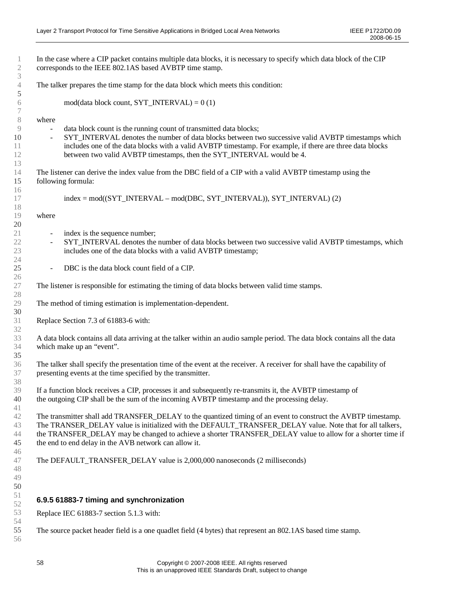|                          | In the case where a CIP packet contains multiple data blocks, it is necessary to specify which data block of the CIP<br>corresponds to the IEEE 802.1AS based AVBTP time stamp.                                                                                                                                                                                                                   |
|--------------------------|---------------------------------------------------------------------------------------------------------------------------------------------------------------------------------------------------------------------------------------------------------------------------------------------------------------------------------------------------------------------------------------------------|
|                          | The talker prepares the time stamp for the data block which meets this condition:                                                                                                                                                                                                                                                                                                                 |
|                          | $\text{mod}($ data block count, SYT_INTERVAL $) = 0(1)$                                                                                                                                                                                                                                                                                                                                           |
| where                    |                                                                                                                                                                                                                                                                                                                                                                                                   |
|                          | data block count is the running count of transmitted data blocks;                                                                                                                                                                                                                                                                                                                                 |
| $\blacksquare$           | SYT_INTERVAL denotes the number of data blocks between two successive valid AVBTP timestamps which<br>includes one of the data blocks with a valid AVBTP timestamp. For example, if there are three data blocks<br>between two valid AVBTP timestamps, then the SYT_INTERVAL would be 4.                                                                                                          |
|                          | The listener can derive the index value from the DBC field of a CIP with a valid AVBTP timestamp using the                                                                                                                                                                                                                                                                                        |
|                          | following formula:                                                                                                                                                                                                                                                                                                                                                                                |
|                          |                                                                                                                                                                                                                                                                                                                                                                                                   |
|                          | index = mod((SYT_INTERVAL – mod(DBC, SYT_INTERVAL)), SYT_INTERVAL) (2)                                                                                                                                                                                                                                                                                                                            |
| where                    |                                                                                                                                                                                                                                                                                                                                                                                                   |
| $\overline{\phantom{a}}$ | index is the sequence number;                                                                                                                                                                                                                                                                                                                                                                     |
| $\overline{\phantom{a}}$ | SYT_INTERVAL denotes the number of data blocks between two successive valid AVBTP timestamps, which<br>includes one of the data blocks with a valid AVBTP timestamp;                                                                                                                                                                                                                              |
|                          |                                                                                                                                                                                                                                                                                                                                                                                                   |
| $\blacksquare$           | DBC is the data block count field of a CIP.                                                                                                                                                                                                                                                                                                                                                       |
|                          | The listener is responsible for estimating the timing of data blocks between valid time stamps.                                                                                                                                                                                                                                                                                                   |
|                          | The method of timing estimation is implementation-dependent.                                                                                                                                                                                                                                                                                                                                      |
|                          | Replace Section 7.3 of 61883-6 with:                                                                                                                                                                                                                                                                                                                                                              |
|                          | A data block contains all data arriving at the talker within an audio sample period. The data block contains all the data<br>which make up an "event".                                                                                                                                                                                                                                            |
|                          | The talker shall specify the presentation time of the event at the receiver. A receiver for shall have the capability of<br>presenting events at the time specified by the transmitter.                                                                                                                                                                                                           |
|                          | If a function block receives a CIP, processes it and subsequently re-transmits it, the AVBTP timestamp of<br>the outgoing CIP shall be the sum of the incoming AVBTP timestamp and the processing delay.                                                                                                                                                                                          |
|                          |                                                                                                                                                                                                                                                                                                                                                                                                   |
|                          | The transmitter shall add TRANSFER_DELAY to the quantized timing of an event to construct the AVBTP timestamp.<br>The TRANSER_DELAY value is initialized with the DEFAULT_TRANSFER_DELAY value. Note that for all talkers,<br>the TRANSFER_DELAY may be changed to achieve a shorter TRANSFER_DELAY value to allow for a shorter time if<br>the end to end delay in the AVB network can allow it. |
|                          |                                                                                                                                                                                                                                                                                                                                                                                                   |
|                          | The DEFAULT_TRANSFER_DELAY value is 2,000,000 nanoseconds (2 milliseconds)                                                                                                                                                                                                                                                                                                                        |
|                          | 6.9.5 61883-7 timing and synchronization                                                                                                                                                                                                                                                                                                                                                          |
|                          | Replace IEC 61883-7 section 5.1.3 with:                                                                                                                                                                                                                                                                                                                                                           |
|                          | The source packet header field is a one quadlet field (4 bytes) that represent an 802.1AS based time stamp.                                                                                                                                                                                                                                                                                       |
|                          |                                                                                                                                                                                                                                                                                                                                                                                                   |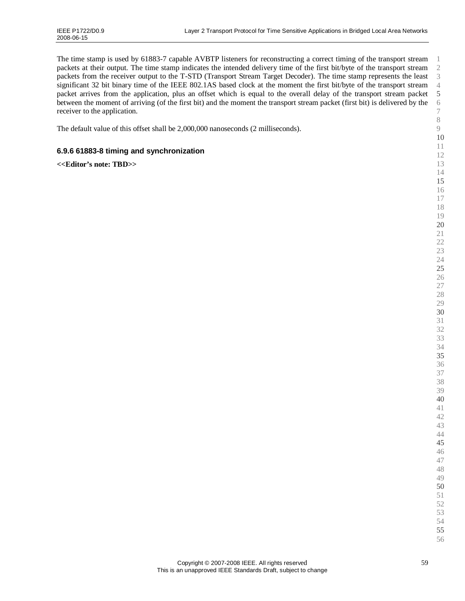The time stamp is used by 61883-7 capable AVBTP listeners for reconstructing a correct timing of the transport stream packets at their output. The time stamp indicates the intended delivery time of the first bit/byte of the transport stream packets from the receiver output to the T-STD (Transport Stream Target Decoder). The time stamp represents the least significant 32 bit binary time of the IEEE 802.1AS based clock at the moment the first bit/byte of the transport stream packet arrives from the application, plus an offset which is equal to the overall delay of the transport stream packet between the moment of arriving (of the first bit) and the moment the transport stream packet (first bit) is delivered by the receiver to the application.

The default value of this offset shall be 2,000,000 nanoseconds (2 milliseconds).

# **6.9.6 61883-8 timing and synchronization**

**<<Editor's note: TBD>>**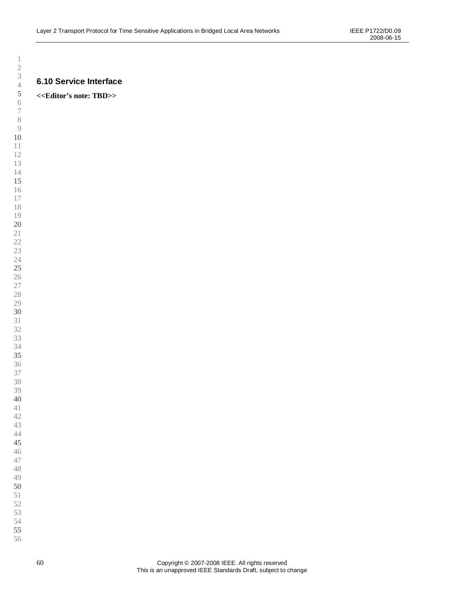# **6.10 Service Interface**

# **<<Editor's note: TBD>>**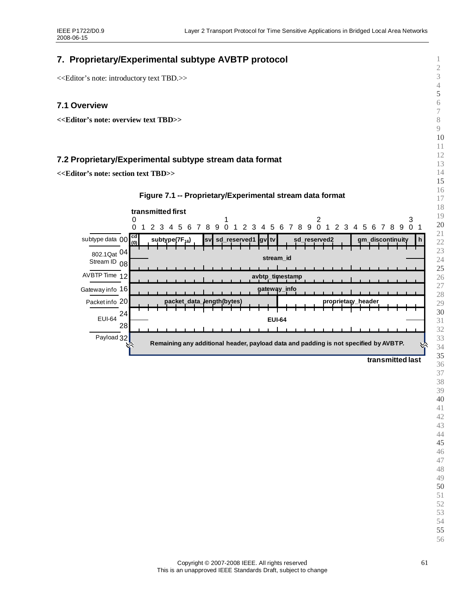# **7. Proprietary/Experimental subtype AVBTP protocol**

<<Editor's note: introductory text TBD.>>

# **7.1 Overview**

**<<Editor's note: overview text TBD>>**

# **7.2 Proprietary/Experimental subtype stream data format**

**<<Editor's note: section text TBD>>**



####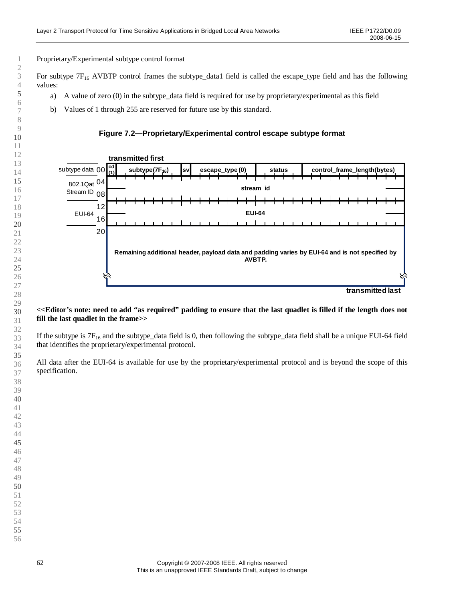Proprietary/Experimental subtype control format

For subtype  $7F_{16}$  AVBTP control frames the subtype\_data1 field is called the escape\_type field and has the following values:

- a) A value of zero (0) in the subtype data field is required for use by proprietary/experimental as this field
- b) Values of 1 through 255 are reserved for future use by this standard.

### **Figure 7.2— Proprietary/Experimental control escape subtype format**



#### **<<Editor's note: need to add "as required"padding to ensure that the last quadlet is filled if the length does not fill the last quadlet in the frame>>**

If the subtype is  $7F_{16}$  and the subtype\_data field is 0, then following the subtype\_data field shall be a unique EUI-64 field that identifies the proprietary/experimental protocol.

All data after the EUI-64 is available for use by the proprietary/experimental protocol and is beyond the scope of this specification.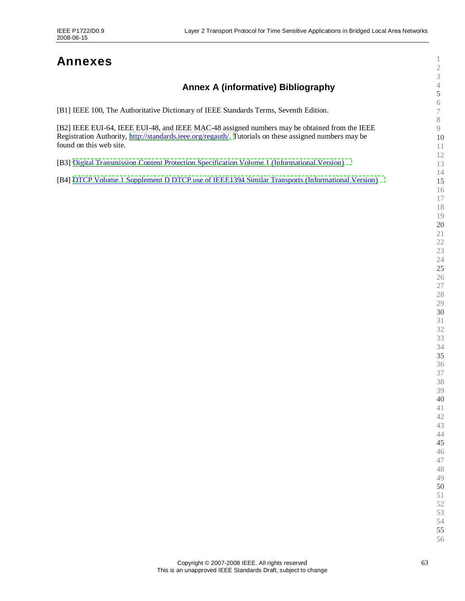# **Annexes**

# **Annex A (informative) Bibliography**

| Annex A (implificative) Dibilography                                                                                                                                                                                               | $\mathfrak{S}$                          |
|------------------------------------------------------------------------------------------------------------------------------------------------------------------------------------------------------------------------------------|-----------------------------------------|
| [B1] IEEE 100, The Authoritative Dictionary of IEEE Standards Terms, Seventh Edition.                                                                                                                                              | $\sqrt{6}$<br>$\boldsymbol{7}$          |
| [B2] IEEE EUI-64, IEEE EUI-48, and IEEE MAC-48 assigned numbers may be obtained from the IEEE<br>Registration Authority, http://standards.ieee.org/regauth/. Tutorials on these assigned numbers may be<br>found on this web site. | $\,$ $\,$<br>$\overline{9}$<br>10<br>11 |
| [B3] Digital Transmission Content Protection Specification Volume 1 (Informational Version)                                                                                                                                        | 12<br>13                                |
| [B4] DTCP Volume 1 Supplement D DTCP use of IEEE1394 Similar Transports (Informational Version)                                                                                                                                    | 14<br>15                                |
|                                                                                                                                                                                                                                    | 16<br>17                                |
|                                                                                                                                                                                                                                    | 18<br>19                                |
|                                                                                                                                                                                                                                    | 20                                      |
|                                                                                                                                                                                                                                    | $21\,$<br>22                            |
|                                                                                                                                                                                                                                    | 23                                      |
|                                                                                                                                                                                                                                    | 24<br>25                                |
|                                                                                                                                                                                                                                    | 26<br>$27\,$                            |
|                                                                                                                                                                                                                                    | 28                                      |
|                                                                                                                                                                                                                                    | 29<br>30                                |
|                                                                                                                                                                                                                                    | $31\,$                                  |
|                                                                                                                                                                                                                                    | 32<br>33                                |
|                                                                                                                                                                                                                                    | 34<br>35                                |
|                                                                                                                                                                                                                                    | 36                                      |
|                                                                                                                                                                                                                                    | 37<br>38                                |
|                                                                                                                                                                                                                                    | 39                                      |
|                                                                                                                                                                                                                                    | 40<br>41                                |
|                                                                                                                                                                                                                                    | 42                                      |
|                                                                                                                                                                                                                                    | 43<br>44                                |
|                                                                                                                                                                                                                                    | 45<br>46                                |
|                                                                                                                                                                                                                                    | 47                                      |
|                                                                                                                                                                                                                                    | 48<br>49                                |
|                                                                                                                                                                                                                                    | 50                                      |
|                                                                                                                                                                                                                                    | 51                                      |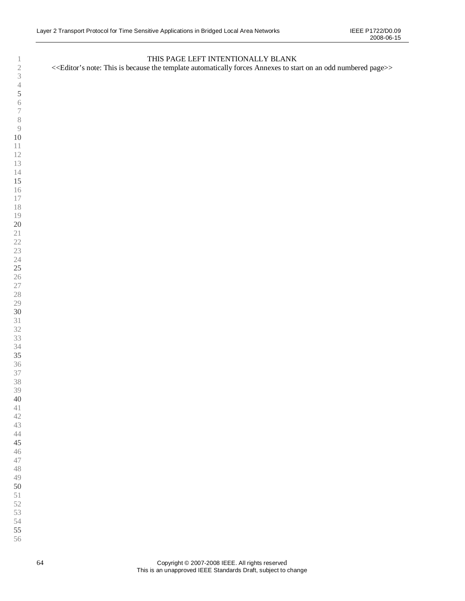# THIS PAGE LEFT INTENTIONALLY BLANK

<<Editor's note: This is because the template automatically forces Annexes to start on an odd numbered page>>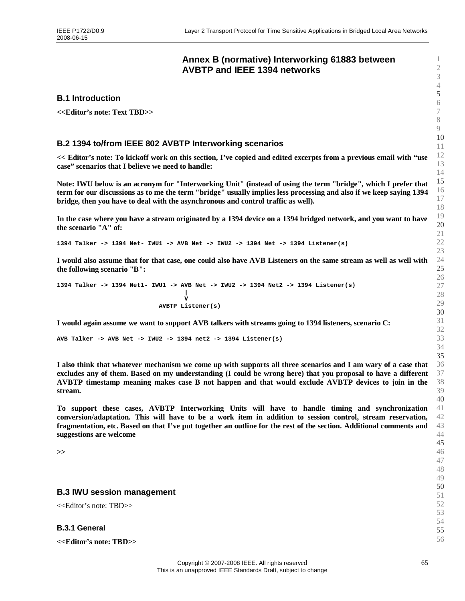# <span id="page-64-0"></span>**Annex B (normative) Interworking 61883 between AVBTP and IEEE 1394 networks**

#### **B.1 Introduction**

**<<Editor's note: Text TBD>>**

### **B.2 1394 to/from IEEE 802 AVBTP Interworking scenarios**

**<< Editor's note: To kickoff work on this section, I've copied and edited excerpts from a previous email with "use case"scenarios that I believe we need to handle:**

**Note: IWU below is an acronym for "Interworking Unit" (instead of using the term "bridge", which I prefer that term for our discussions as to me the term "bridge" usually implies less processing and also if we keep saying 1394 bridge, then you have to deal with the asynchronous and control traffic as well).**

**In the case where you have a stream originated by a 1394 device on a 1394 bridged network, and you want to have the scenario "A" of:**

**1394 Talker -> 1394 Net- IWU1 -> AVB Net -> IWU2 -> 1394 Net -> 1394 Listener(s)**

**I would also assume that for that case, one could also have AVB Listeners on the same stream as well as well with the following scenario "B":**

**1394 Talker -> 1394 Net1- IWU1 -> AVB Net -> IWU2 -> 1394 Net2 -> 1394 Listener(s) | V AVBTP Listener(s)**

**I would again assume we want to support AVB talkers with streams going to 1394 listeners, scenario C:**

**AVB Talker -> AVB Net -> IWU2 -> 1394 net2 -> 1394 Listener(s)**

**I also think that whatever mechanism we come up with supports all three scenarios and I am wary of a case that excludes any of them. Based on my understanding (I could be wrong here) that you proposal to have a different AVBTP timestamp meaning makes case B not happen and that would exclude AVBTP devices to join in the stream.**

**To support these cases, AVBTP Interworking Units will have to handle timing and synchronization conversion/adaptation. This will have to be a work item in addition to session control, stream reservation, fragmentation, etc. Based on that I've put together an outline for the rest of the section. Additional comments and suggestions are welcome**

**>>**

#### **B.3 IWU session management**

<<Editor's note: TBD>>

**B.3.1 General**

**<<Editor's note: TBD>>**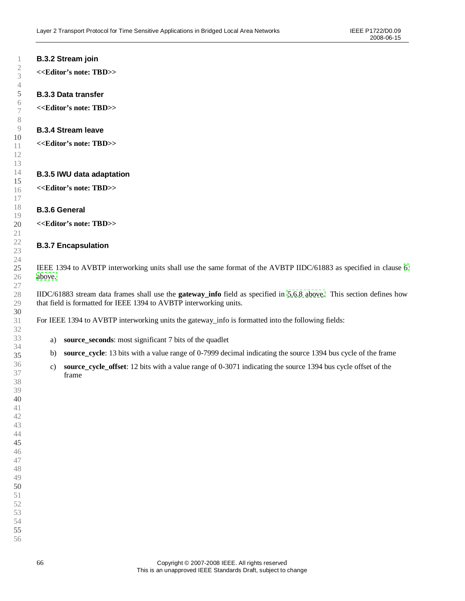# **B.3.2 Stream join**

**<<Editor's note: TBD>>**

### **B.3.3 Data transfer**

**<<Editor's note: TBD>>**

### **B.3.4 Stream leave**

**<<Editor's note: TBD>>**

#### **B.3.5 IWU data adaptation**

**<<Editor's note: TBD>>**

#### **B.3.6 General**

**<<Editor's note: TBD>>**

#### **B.3.7 Encapsulation**

IEEE 1394 to AVBTP interworking units shall use the same format of the AVBTP IIDC/61883 as specified in clause [6](#page-44-0) [above.](#page-44-0)

IIDC/61883 stream data frames shall use the **gateway info** field as specified in [5.6.8 above.](#page-39-1) This section defines how that field is formatted for IEEE 1394 to AVBTP interworking units.

For IEEE 1394 to AVBTP interworking units the gateway\_info is formatted into the following fields:

- a) **source\_seconds**: most significant 7 bits of the quadlet
- b) **source\_cycle**: 13 bits with a value range of 0-7999 decimal indicating the source 1394 bus cycle of the frame
- c) **source\_cycle\_offset**: 12 bits with a value range of 0-3071 indicating the source 1394 bus cycle offset of the frame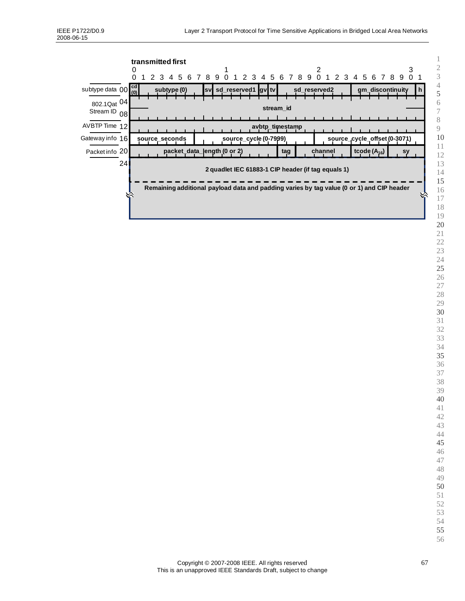|                                                                                                                                                       | transmitted first<br>O<br>$\Omega$ | 2 3 4 5 6 7 8 9 0 1 2 3 4 5 6 7 8 9 0 1 2 3 4 5 6 7 8 9 0 1 |                 | 3                            |  |  |
|-------------------------------------------------------------------------------------------------------------------------------------------------------|------------------------------------|-------------------------------------------------------------|-----------------|------------------------------|--|--|
| subtype data $00\frac{\text{cd}}{\text{(0)}}$                                                                                                         | subtype (0)                        | sv sd_reserved1 gv tv                                       | sd_reserved2    | gm_discontinuity<br>n.       |  |  |
| 802.1Qat 04<br>Stream ID 08                                                                                                                           |                                    |                                                             | stream id       |                              |  |  |
| AVBTP Time 12                                                                                                                                         |                                    |                                                             | avbtp_timestamp |                              |  |  |
| Gateway info 16                                                                                                                                       | source_seconds                     | source_cycle (0-7999)                                       |                 | source_cycle_offset (0-3071) |  |  |
| Packet info 20                                                                                                                                        |                                    | packet_data_length (0 or 2)                                 | channel<br>tag  | tcode $(A_{16})$<br>sy       |  |  |
| 24<br>2 quadlet IEC 61883-1 CIP header (if tag equals 1)<br>Remaining additional payload data and padding varies by tag value (0 or 1) and CIP header |                                    |                                                             |                 |                              |  |  |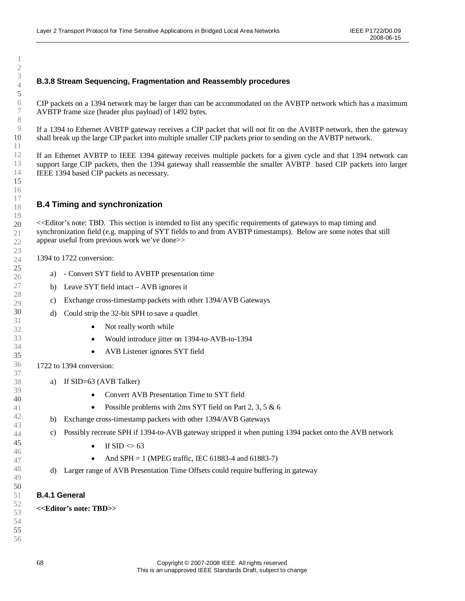# **B.3.8 Stream Sequencing, Fragmentation and Reassembly procedures**

CIP packets on a 1394 network may be larger than can be accommodated on the AVBTP network which has a maximum AVBTP frame size (header plus payload) of 1492 bytes.

If a 1394 to Ethernet AVBTP gateway receives a CIP packet that will not fit on the AVBTP network, then the gateway shall break up the large CIP packet into multiple smaller CIP packets prior to sending on the AVBTP network.

If an Ethernet AVBTP to IEEE 1394 gateway receives multiple packets for a given cycle and that 1394 network can support large CIP packets, then the 1394 gateway shall reassemble the smaller AVBTP based CIP packets into larger IEEE 1394 based CIP packets as necessary.

# **B.4 Timing and synchronization**

<<Editor's note: TBD. This section is intended to list any specific requirements of gateways to map timing and synchronization field (e.g. mapping of SYT fields to and from AVBTP timestamps). Below are some notes that still appear useful from previous work we've done>>

1394 to 1722 conversion:

- a) Convert SYT field to AVBTP presentation time
- b) Leave SYT field intact –AVB ignores it
- c) Exchange cross-timestamp packets with other 1394/AVB Gateways
- d) Could strip the 32-bit SPH to save a quadlet
	- Not really worth while
	- Would introduce jitter on 1394-to-AVB-to-1394
	- AVB Listener ignores SYT field

1722 to 1394 conversion:

- a) If SID=63 (AVB Talker)
	- Convert AVB Presentation Time to SYT field
	- Possible problems with 2ms SYT field on Part 2, 3, 5  $\&$  6
- b) Exchange cross-timestamp packets with other 1394/AVB Gateways
- c) Possibly recreate SPH if 1394-to-AVB gateway stripped it when putting 1394 packet onto the AVB network
	- If  $\text{SID} \leq 63$
	- And SPH = 1 (MPEG traffic, IEC 61883-4 and 61883-7)
- d) Larger range of AVB Presentation Time Offsets could require buffering in gateway

#### **B.4.1 General**

**<<Editor's note: TBD>>**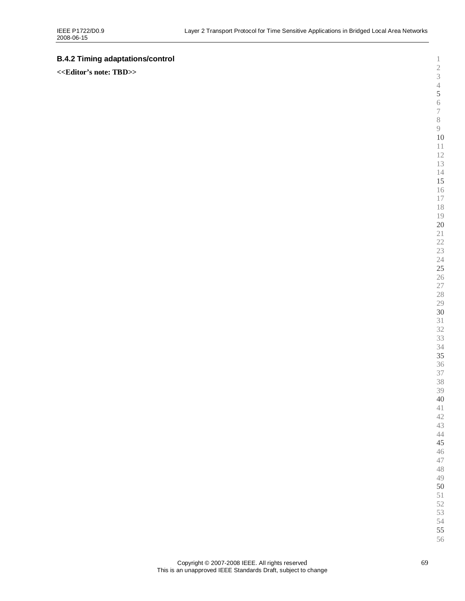# **B.4.2 Timing adaptations/control**

**<<Editor's note: TBD>>**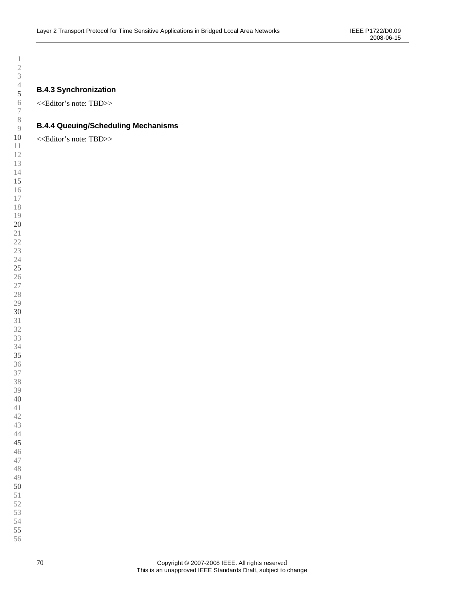**B.4.3 Synchronization**

<<Editor's note: TBD>>

# **B.4.4 Queuing/Scheduling Mechanisms**

<<Editor's note: TBD>>

 Copyright © 2007-2008 IEEE. All rights reserved This is an unapproved IEEE Standards Draft, subject to change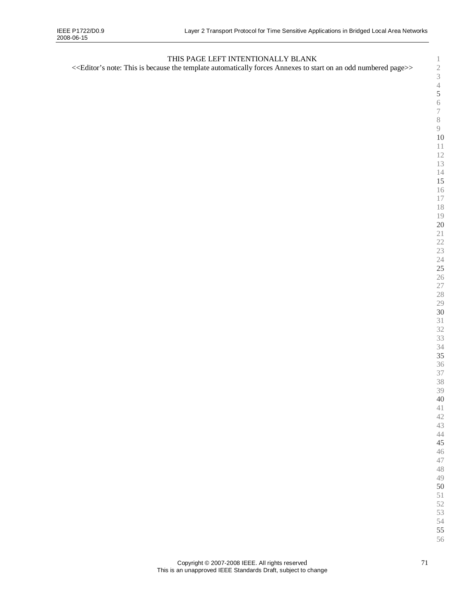# THIS PAGE LEFT INTENTIONALLY BLANK

<<Editor's note: This is because the template automatically forces Annexes to start on an odd numbered page>>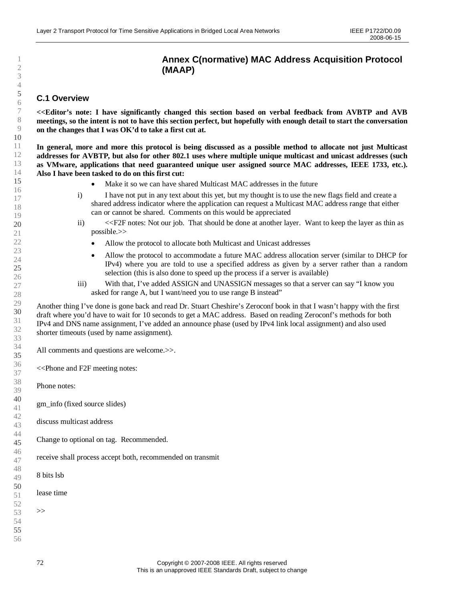# **Annex C(normative) MAC Address Acquisition Protocol (MAAP)**

### **C.1 Overview**

**<<Editor's note: I have significantly changed this section based on verbal feedback from AVBTP and AVB meetings, so the intent is not to have this section perfect, but hopefully with enough detail to start the conversation on the changes that I was OK'd to take a first cut at.**

**In general, more and more this protocol is being discussed as a possible method to allocate not just Multicast addresses for AVBTP, but also for other 802.1 uses where multiple unique multicast and unicast addresses (such as VMware, applications that need guaranteed unique user assigned source MAC addresses, IEEE 1733, etc.). Also I have been tasked to do on this first cut:**

- Make it so we can have shared Multicast MAC addresses in the future
- i) I have not put in any text about this yet, but my thought is to use the new flags field and create a shared address indicator where the application can request a Multicast MAC address range that either can or cannot be shared. Comments on this would be appreciated
- ii) <<F2F notes: Not our job. That should be done at another layer. Want to keep the layer as thin as possible.>>
	- Allow the protocol to allocate both Multicast and Unicast addresses
	- Allow the protocol to accommodate a future MAC address allocation server (similar to DHCP for IPv4) where you are told to use a specified address as given by a server rather than a random selection (this is also done to speed up the process if a server is available)
- iii) With that, I've added ASSIGN and UNASSIGN messages so that a server can say "I know you asked for range A, but I want/need you to use range B instead"

Another thing I've done is gone back and read Dr. Stuart Cheshire's Zeroconf book in that I wasn't happy with the first draft where you'd have to wait for 10 seconds to get a MAC address. Based on reading Zeroconf's methods for both IPv4 and DNS name assignment, I've added an announce phase (used by IPv4 link local assignment) and also used shorter timeouts (used by name assignment).

All comments and questions are welcome. $\gg$ .

<<Phone and F2F meeting notes:

Phone notes:

gm\_info (fixed source slides)

- discuss multicast address
- Change to optional on tag. Recommended.

receive shall process accept both, recommended on transmit

8 bits lsb

lease time

>>

- 
-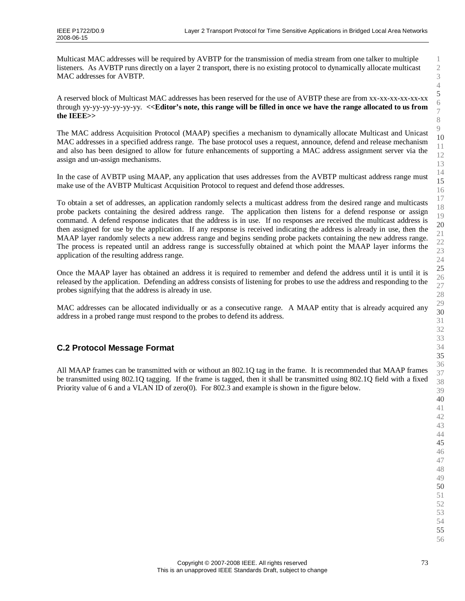Multicast MAC addresses will be required by AVBTP for the transmission of media stream from one talker to multiple listeners. As AVBTP runs directly on a layer 2 transport, there is no existing protocol to dynamically allocate multicast MAC addresses for AVBTP.

A reserved block of Multicast MAC addresses has been reserved for the use of AVBTP these are from xx-xx-xx-xx-xx-xx through yy-yy-yy-yy-yy-yy. **<<Editor's note, this range will be filled in once we have the range allocated to us from the IEEE>>**

The MAC address Acquisition Protocol (MAAP) specifies a mechanism to dynamically allocate Multicast and Unicast MAC addresses in a specified address range. The base protocol uses a request, announce, defend and release mechanism and also has been designed to allow for future enhancements of supporting a MAC address assignment server via the assign and un-assign mechanisms.

In the case of AVBTP using MAAP, any application that uses addresses from the AVBTP multicast address range must make use of the AVBTP Multicast Acquisition Protocol to request and defend those addresses.

To obtain a set of addresses, an application randomly selects a multicast address from the desired range and multicasts probe packets containing the desired address range. The application then listens for a defend response or assign command. A defend response indicates that the address is in use. If no responses are received the multicast address is then assigned for use by the application. If any response is received indicating the address is already in use, then the MAAP layer randomly selects a new address range and begins sending probe packets containing the new address range. The process is repeated until an address range is successfully obtained at which point the MAAP layer informs the application of the resulting address range.

Once the MAAP layer has obtained an address it is required to remember and defend the address until it is until it is released by the application. Defending an address consists of listening for probes to use the address and responding to the probes signifying that the address is already in use.

MAC addresses can be allocated individually or as a consecutive range. A MAAP entity that is already acquired any address in a probed range must respond to the probes to defend its address.

#### **C.2 Protocol Message Format**

All MAAP frames can be transmitted with or without an 802.1Q tag in the frame. It is recommended that MAAP frames be transmitted using 802.1Q tagging. If the frame is tagged, then it shall be transmitted using 802.1Q field with a fixed Priority value of 6 and a VLAN ID of zero(0). For 802.3 and example is shown in the figure below.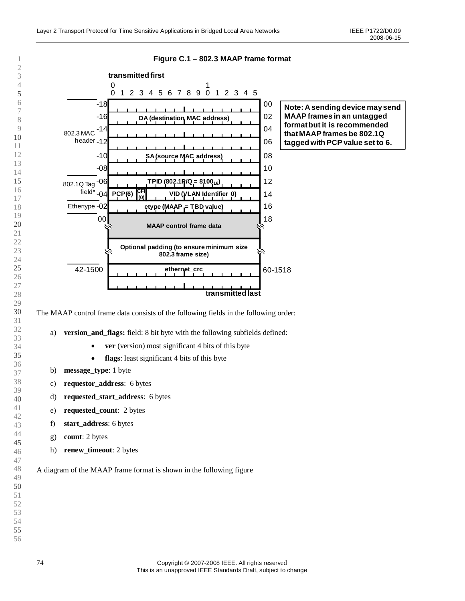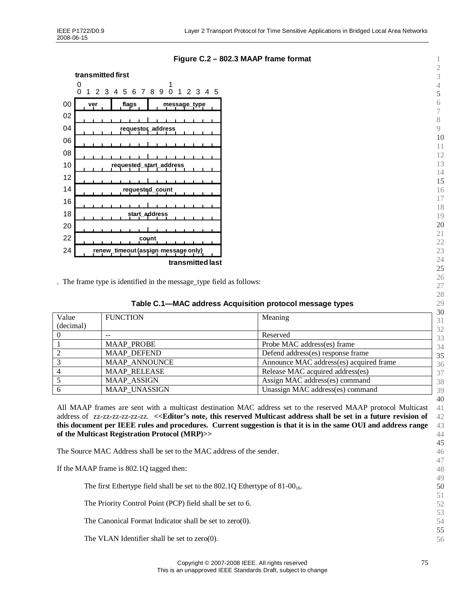

#### **Figure C.2 –802.3 MAAP frame format**

. The frame type is identified in the message\_type field as follows:

| Table C.1—MAC address Acquisition protocol message types |  |  |
|----------------------------------------------------------|--|--|
|                                                          |  |  |

| Value         | <b>FUNCTION</b>      | Meaning                                 | 30<br>31 |
|---------------|----------------------|-----------------------------------------|----------|
| (decimal)     |                      |                                         | 32       |
|               |                      | Reserved                                | 33       |
|               | <b>MAAP PROBE</b>    | Probe MAC address(es) frame             | 34       |
| $\mathcal{D}$ | <b>MAAP DEFEND</b>   | Defend address(es) response frame       | 35       |
|               | <b>MAAP ANNOUNCE</b> | Announce MAC address(es) acquired frame | 36       |
|               | <b>MAAP RELEASE</b>  | Release MAC acquired address(es)        | 37       |
|               | <b>MAAP ASSIGN</b>   | Assign MAC address(es) command          | 38       |
|               | <b>MAAP UNASSIGN</b> | Unassign MAC address(es) command        | 39       |

All MAAP frames are sent with a multicast destination MAC address set to the reserved MAAP protocol Multicast address of zz-zz-zz-zz-zz-zz. **<<Editor's note, this reserved Multicast address shall be set in a future revision of this document per IEEE rules and procedures. Current suggestion is that it is in the same OUI and address range of the Multicast Registration Protocol (MRP)>>**

 The Source MAC Address shall be set to the MAC address of the sender. If the MAAP frame is 802.1Q tagged then: The first Ethertype field shall be set to the  $802.1Q$  Ethertype of  $81-00<sub>16</sub>$ . The Priority Control Point (PCP) field shall be set to 6. The Canonical Format Indicator shall be set to zero(0). The VLAN Identifier shall be set to zero(0).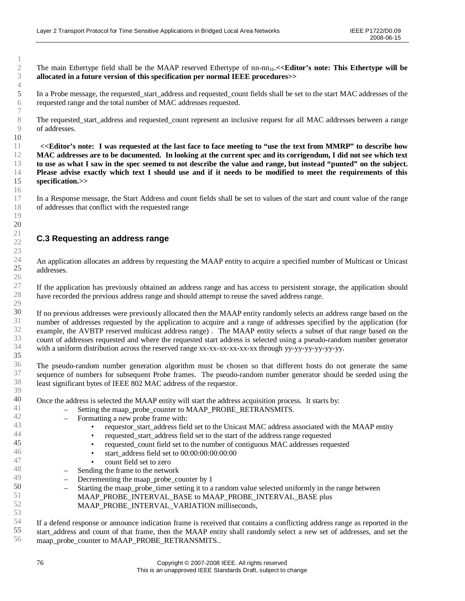The main Ethertype field shall be the MAAP reserved Ethertype of nn-nn<sub>16</sub>. $\lt$ **Editor's note: This Ethertype will be allocated in a future version of this specification per normal IEEE procedures>>**

In a Probe message, the requested start address and requested count fields shall be set to the start MAC addresses of the requested range and the total number of MAC addresses requested.

The requested start address and requested count represent an inclusive request for all MAC addresses between a range of addresses.

**<<Editor's note: I was requested at the last face to face meeting to "use the text from MMRP"to describe how MAC addresses are to be documented. In looking at the current spec and its corrigendum, I did not see which text to use as what I saw in the spec seemed to not describe the value and range, but instead "punted"on the subject. Please advise exactly which text I should use and if it needs to be modified to meet the requirements of this specification.>>**

In a Response message, the Start Address and count fields shall be set to values of the start and count value of the range of addresses that conflict with the requested range

#### **C.3 Requesting an address range**

An application allocates an address by requesting the MAAP entity to acquire a specified number of Multicast or Unicast addresses.

If the application has previously obtained an address range and has access to persistent storage, the application should have recorded the previous address range and should attempt to reuse the saved address range.

If no previous addresses were previously allocated then the MAAP entity randomly selects an address range based on the number of addresses requested by the application to acquire and a range of addresses specified by the application (for example, the AVBTP reserved multicast address range) . The MAAP entity selects a subset of that range based on the count of addresses requested and where the requested start address is selected using a pseudo-random number generator with a uniform distribution across the reserved range xx-xx-xx-xx-xx-xx through yy-yy-yy-yy-yy-yy.

The pseudo-random number generation algorithm must be chosen so that different hosts do not generate the same sequence of numbers for subsequent Probe frames. The pseudo-random number generator should be seeded using the least significant bytes of IEEE 802 MAC address of the requestor.

Once the address is selected the MAAP entity will start the address acquisition process. It starts by:

- Setting the maap\_probe\_counter to MAAP\_PROBE\_RETRANSMITS.
	- Formatting a new probe frame with:
		- requestor\_start\_address field set to the Unicast MAC address associated with the MAAP entity
		- requested start address field set to the start of the address range requested
		- requested count field set to the number of contiguous MAC addresses requested
			- start\_address field set to  $00:00:00:00:00:00$
		- count field set to zero
- Sending the frame to the network
- Decrementing the maap\_probe\_counter by 1
- Starting the maap\_probe\_timer setting it to a random value selected uniformly in the range between MAAP\_PROBE\_INTERVAL\_BASE to MAAP\_PROBE\_INTERVAL\_BASE plus MAAP\_PROBE\_INTERVAL\_VARIATION milliseconds,

If a defend response or announce indication frame is received that contains a conflicting address range as reported in the start\_address and count of that frame, then the MAAP entity shall randomly select a new set of addresses, and set the maap\_probe\_counter to MAAP\_PROBE\_RETRANSMITS..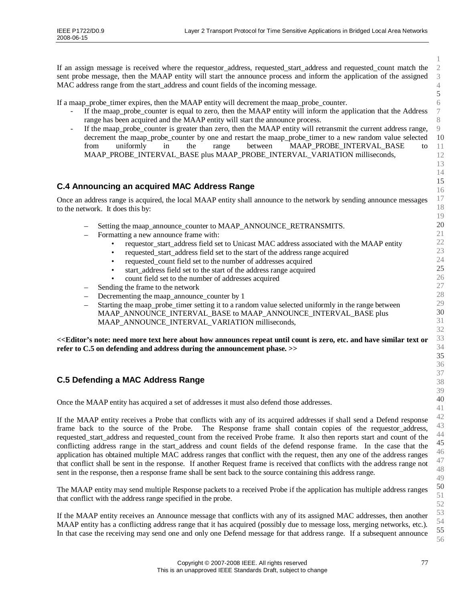If an assign message is received where the requestor address, requested start address and requested count match the sent probe message, then the MAAP entity will start the announce process and inform the application of the assigned MAC address range from the start address and count fields of the incoming message.

If a maap\_probe\_timer expires, then the MAAP entity will decrement the maap\_probe\_counter.

- If the maap\_probe\_counter is equal to zero, then the MAAP entity will inform the application that the Address range has been acquired and the MAAP entity will start the announce process.
- If the maap\_probe\_counter is greater than zero, then the MAAP entity will retransmit the current address range, decrement the maap\_probe\_counter by one and restart the maap\_probe\_timer to a new random value selected from uniformly in the range between MAAP\_PROBE\_INTERVAL\_BASE to MAAP\_PROBE\_INTERVAL\_BASE plus MAAP\_PROBE\_INTERVAL\_VARIATION milliseconds,

## **C.4 Announcing an acquired MAC Address Range**

Once an address range is acquired, the local MAAP entity shall announce to the network by sending announce messages to the network. It does this by:

- Setting the maap\_announce\_counter to MAAP\_ANNOUNCE\_RETRANSMITS.
- Formatting a new announce frame with:
	- requestor\_start\_address field set to Unicast MAC address associated with the MAAP entity
		- requested start address field set to the start of the address range acquired
	- requested\_count field set to the number of addresses acquired
	- start\_address field set to the start of the address range acquired
	- count field set to the number of addresses acquired
- Sending the frame to the network
- Decrementing the maap announce counter by 1
- Starting the maap\_probe\_timer setting it to a random value selected uniformly in the range between MAAP\_ANNOUNCE\_INTERVAL\_BASE to MAAP\_ANNOUNCE\_INTERVAL\_BASE plus MAAP\_ANNOUNCE\_INTERVAL\_VARIATION milliseconds,

**<<Editor's note: need more text here about how announces repeat until count is zero, etc. and have similar text or refer to C.5 on defending and address during the announcement phase. >>**

## **C.5 Defending a MAC Address Range**

Once the MAAP entity has acquired a set of addresses it must also defend those addresses.

If the MAAP entity receives a Probe that conflicts with any of its acquired addresses if shall send a Defend response frame back to the source of the Probe. The Response frame shall contain copies of the requestor address, requested\_start\_address and requested\_count from the received Probe frame. It also then reports start and count of the conflicting address range in the start\_address and count fields of the defend response frame. In the case that the application has obtained multiple MAC address ranges that conflict with the request, then any one of the address ranges that conflict shall be sent in the response. If another Request frame is received that conflicts with the address range not sent in the response, then a response frame shall be sent back to the source containing this address range.

The MAAP entity may send multiple Response packets to a received Probe if the application has multiple address ranges that conflict with the address range specified in the probe.

If the MAAP entity receives an Announce message that conflicts with any of its assigned MAC addresses, then another MAAP entity has a conflicting address range that it has acquired (possibly due to message loss, merging networks, etc.). In that case the receiving may send one and only one Defend message for that address range. If a subsequent announce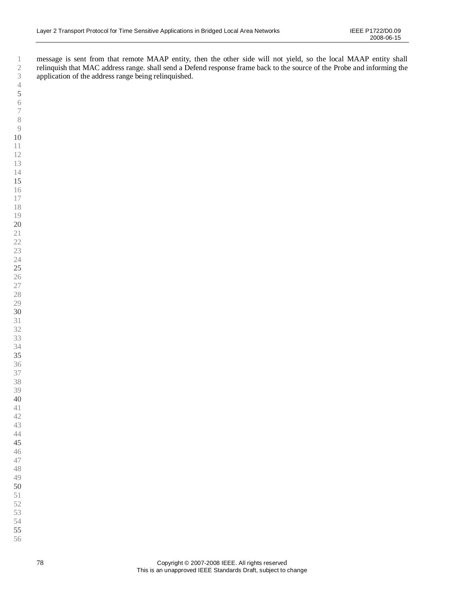message is sent from that remote MAAP entity, then the other side will not yield, so the local MAAP entity shall relinquish that MAC address range. shall send a Defend response frame back to the source of the Probe and informing the application of the address range being relinquished.

- 
-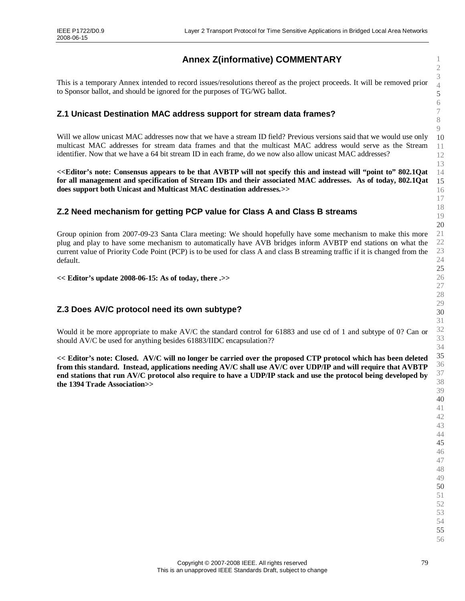# **Annex Z(informative) COMMENTARY**

This is a temporary Annex intended to record issues/resolutions thereof as the project proceeds. It will be removed prior to Sponsor ballot, and should be ignored for the purposes of TG/WG ballot.

### **Z.1 Unicast Destination MAC address support for stream data frames?**

Will we allow unicast MAC addresses now that we have a stream ID field? Previous versions said that we would use only multicast MAC addresses for stream data frames and that the multicast MAC address would serve as the Stream identifier. Now that we have a 64 bit stream ID in each frame, do we now also allow unicast MAC addresses?

**<<Editor's note: Consensus appears to be that AVBTP will not specify this and instead will "point to"802.1Qat for all management and specification of Stream IDs and their associated MAC addresses. As of today, 802.1Qat does support both Unicast and Multicast MAC destination addresses.>>**

## **Z.2 Need mechanism for getting PCP value for Class A and Class B streams**

Group opinion from 2007-09-23 Santa Clara meeting: We should hopefully have some mechanism to make this more plug and play to have some mechanism to automatically have AVB bridges inform AVBTP end stations on what the current value of Priority Code Point (PCP) is to be used for class A and class B streaming traffic if it is changed from the default.

**<< Editor's update 2008-06-15: As of today, there .>>**

## **Z.3 Does AV/C protocol need its own subtype?**

Would it be more appropriate to make AV/C the standard control for 61883 and use cd of 1 and subtype of 0? Can or should AV/C be used for anything besides 61883/IIDC encapsulation??

**<< Editor's note: Closed. AV/C will no longer be carried over the proposed CTP protocol which has been deleted from this standard. Instead, applications needing AV/C shall use AV/C over UDP/IP and will require that AVBTP end stations that run AV/C protocol also require to have a UDP/IP stack and use the protocol being developed by the 1394 Trade Association>>**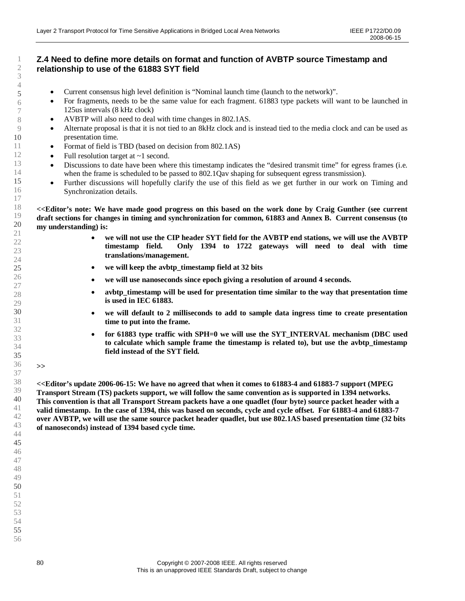### **Z.4 Need to define more details on format and function of AVBTP source Timestamp and relationship to use of the 61883 SYT field**

- Current consensus high level definition is "Nominal launch time (launch to the network)".
- For fragments, needs to be the same value for each fragment. 61883 type packets will want to be launched in 125us intervals (8 kHz clock)
- AVBTP will also need to deal with time changes in 802.1AS.
- Alternate proposal is that it is not tied to an 8kHz clock and is instead tied to the media clock and can be used as presentation time.
- Format of field is TBD (based on decision from 802.1AS)
- Full resolution target at  $\sim$ 1 second.
- Discussions to date have been where this timestamp indicates the "desired transmit time" for egress frames (i.e. when the frame is scheduled to be passed to 802.1Qav shaping for subsequent egress transmission).
- Further discussions will hopefully clarify the use of this field as we get further in our work on Timing and Synchronization details.

**<<Editor's note: We have made good progress on this based on the work done by Craig Gunther (see current draft sections for changes in timing and synchronization for common, 61883 and Annex B. Current consensus (to my understanding) is:**

- **we will not use the CIP header SYT field for the AVBTP end stations, we will use the AVBTP timestamp field. Only 1394 to 1722 gateways will need to deal with time translations/management.**
- **we will keep the avbtp\_timestamp field at 32 bits**
- **we will use nanoseconds since epoch giving a resolution of around 4 seconds.**
- **avbtp\_timestamp will be used for presentation time similar to the way that presentation time is used in IEC 61883.**
- **we will default to 2 milliseconds to add to sample data ingress time to create presentation time to put into the frame.**
- **for 61883 type traffic with SPH=0 we will use the SYT\_INTERVAL mechanism (DBC used to calculate which sample frame the timestamp is related to), but use the avbtp\_timestamp field instead of the SYT field.**

**>>**

**<<Editor's update 2006-06-15: We have no agreed that when it comes to 61883-4 and 61883-7 support (MPEG Transport Stream (TS) packets support, we will follow the same convention as is supported in 1394 networks. This convention is that all Transport Stream packets have a one quadlet (four byte) source packet header with a valid timestamp. In the case of 1394, this was based on seconds, cycle and cycle offset. For 61883-4 and 61883-7 over AVBTP, we will use the same source packet header quadlet, but use 802.1AS based presentation time (32 bits of nanoseconds) instead of 1394 based cycle time.**

- 49
- 50 51

52

- 53 54
	-
- 55 56